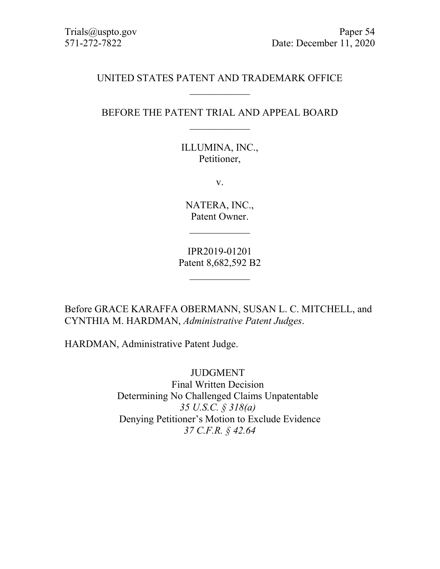# UNITED STATES PATENT AND TRADEMARK OFFICE  $\mathcal{L}_\text{max}$

# BEFORE THE PATENT TRIAL AND APPEAL BOARD  $\overline{\phantom{a}}$

ILLUMINA, INC., Petitioner,

v.

NATERA, INC., Patent Owner.

 $\overline{\phantom{a}}$ 

IPR2019-01201 Patent 8,682,592 B2

 $\overline{\phantom{a}}$ 

Before GRACE KARAFFA OBERMANN, SUSAN L. C. MITCHELL, and CYNTHIA M. HARDMAN, *Administrative Patent Judges*.

HARDMAN, Administrative Patent Judge.

JUDGMENT Final Written Decision Determining No Challenged Claims Unpatentable *35 U.S.C. § 318(a)* Denying Petitioner's Motion to Exclude Evidence *37 C.F.R. § 42.64*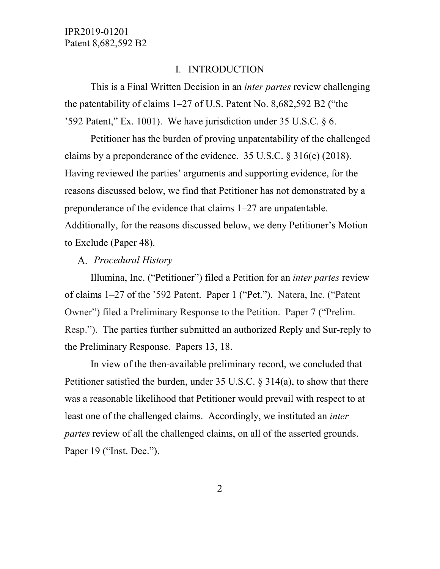#### I. INTRODUCTION

This is a Final Written Decision in an *inter partes* review challenging the patentability of claims 1–27 of U.S. Patent No. 8,682,592 B2 ("the '592 Patent," Ex. 1001). We have jurisdiction under 35 U.S.C. § 6.

Petitioner has the burden of proving unpatentability of the challenged claims by a preponderance of the evidence. 35 U.S.C. § 316(e) (2018). Having reviewed the parties' arguments and supporting evidence, for the reasons discussed below, we find that Petitioner has not demonstrated by a preponderance of the evidence that claims 1–27 are unpatentable. Additionally, for the reasons discussed below, we deny Petitioner's Motion to Exclude (Paper 48).

#### *Procedural History*

Illumina, Inc. ("Petitioner") filed a Petition for an *inter partes* review of claims 1–27 of the '592 Patent. Paper 1 ("Pet."). Natera, Inc. ("Patent Owner") filed a Preliminary Response to the Petition. Paper 7 ("Prelim. Resp."). The parties further submitted an authorized Reply and Sur-reply to the Preliminary Response. Papers 13, 18.

In view of the then-available preliminary record, we concluded that Petitioner satisfied the burden, under 35 U.S.C. § 314(a), to show that there was a reasonable likelihood that Petitioner would prevail with respect to at least one of the challenged claims. Accordingly, we instituted an *inter partes* review of all the challenged claims, on all of the asserted grounds. Paper 19 ("Inst. Dec.").

2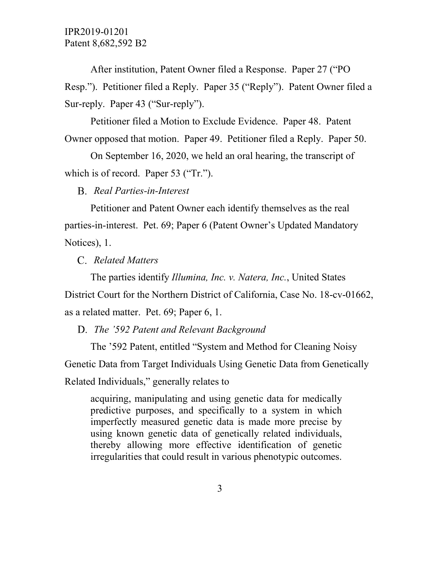After institution, Patent Owner filed a Response. Paper 27 ("PO Resp."). Petitioner filed a Reply. Paper 35 ("Reply"). Patent Owner filed a Sur-reply. Paper 43 ("Sur-reply").

Petitioner filed a Motion to Exclude Evidence. Paper 48. Patent Owner opposed that motion. Paper 49. Petitioner filed a Reply. Paper 50.

On September 16, 2020, we held an oral hearing, the transcript of which is of record. Paper 53 ("Tr.").

*Real Parties-in-Interest*

Petitioner and Patent Owner each identify themselves as the real parties-in-interest. Pet. 69; Paper 6 (Patent Owner's Updated Mandatory Notices), 1.

*Related Matters*

The parties identify *Illumina, Inc. v. Natera, Inc.*, United States District Court for the Northern District of California, Case No. 18-cv-01662, as a related matter. Pet. 69; Paper 6, 1.

*The '592 Patent and Relevant Background*

The '592 Patent, entitled "System and Method for Cleaning Noisy Genetic Data from Target Individuals Using Genetic Data from Genetically Related Individuals," generally relates to

acquiring, manipulating and using genetic data for medically predictive purposes, and specifically to a system in which imperfectly measured genetic data is made more precise by using known genetic data of genetically related individuals, thereby allowing more effective identification of genetic irregularities that could result in various phenotypic outcomes.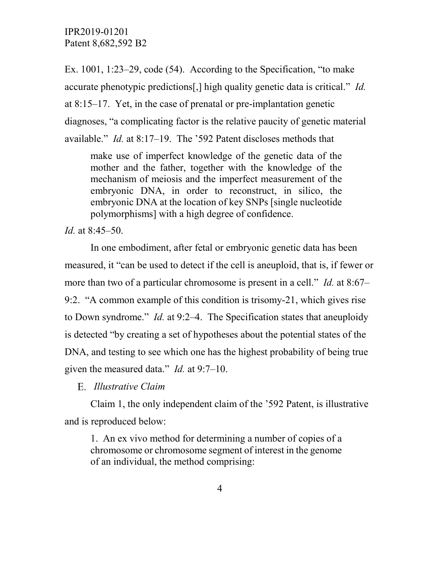Ex. 1001, 1:23–29, code (54). According to the Specification, "to make accurate phenotypic predictions[,] high quality genetic data is critical." *Id.*  at 8:15–17. Yet, in the case of prenatal or pre-implantation genetic diagnoses, "a complicating factor is the relative paucity of genetic material available." *Id.* at 8:17–19. The '592 Patent discloses methods that

make use of imperfect knowledge of the genetic data of the mother and the father, together with the knowledge of the mechanism of meiosis and the imperfect measurement of the embryonic DNA, in order to reconstruct, in silico, the embryonic DNA at the location of key SNPs [single nucleotide polymorphisms] with a high degree of confidence.

*Id.* at 8:45–50.

In one embodiment, after fetal or embryonic genetic data has been measured, it "can be used to detect if the cell is aneuploid, that is, if fewer or more than two of a particular chromosome is present in a cell." *Id.* at 8:67– 9:2. "A common example of this condition is trisomy-21, which gives rise to Down syndrome." *Id.* at 9:2–4. The Specification states that aneuploidy is detected "by creating a set of hypotheses about the potential states of the DNA, and testing to see which one has the highest probability of being true given the measured data." *Id.* at 9:7–10.

*Illustrative Claim*

Claim 1, the only independent claim of the '592 Patent, is illustrative and is reproduced below:

1. An ex vivo method for determining a number of copies of a chromosome or chromosome segment of interest in the genome of an individual, the method comprising: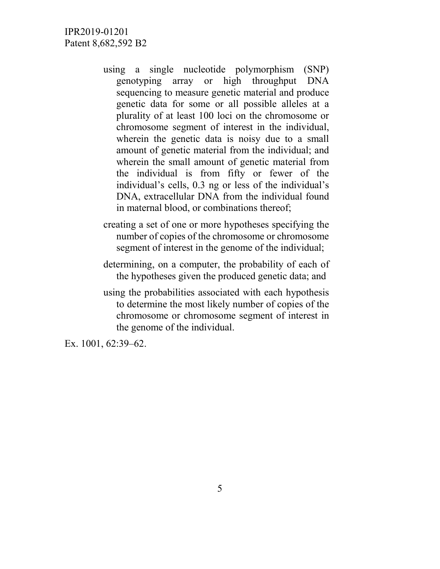- using a single nucleotide polymorphism (SNP) genotyping array or high throughput DNA sequencing to measure genetic material and produce genetic data for some or all possible alleles at a plurality of at least 100 loci on the chromosome or chromosome segment of interest in the individual, wherein the genetic data is noisy due to a small amount of genetic material from the individual; and wherein the small amount of genetic material from the individual is from fifty or fewer of the individual's cells, 0.3 ng or less of the individual's DNA, extracellular DNA from the individual found in maternal blood, or combinations thereof;
- creating a set of one or more hypotheses specifying the number of copies of the chromosome or chromosome segment of interest in the genome of the individual;
- determining, on a computer, the probability of each of the hypotheses given the produced genetic data; and
- using the probabilities associated with each hypothesis to determine the most likely number of copies of the chromosome or chromosome segment of interest in the genome of the individual.

Ex. 1001, 62:39–62.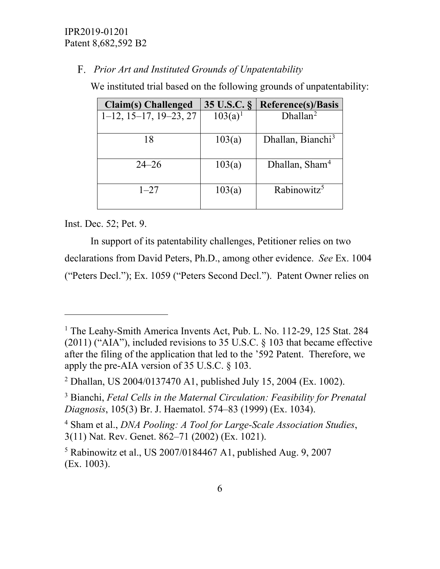*Prior Art and Instituted Grounds of Unpatentability*

We instituted trial based on the following grounds of unpatentability:

| Claim(s) Challenged               | 35 U.S.C. § | <b>Reference(s)/Basis</b>     |
|-----------------------------------|-------------|-------------------------------|
| $1-12$ , $15-17$ , $19-23$ , $27$ | $103(a)^1$  | $Dh$ allan <sup>2</sup>       |
| 18                                | 103(a)      | Dhallan, Bianchi <sup>3</sup> |
| $24 - 26$                         | 103(a)      | Dhallan, Sham <sup>4</sup>    |
| $1 - 27$                          | 103(a)      | Rabinowitz <sup>5</sup>       |

Inst. Dec. 52; Pet. 9.

 $\overline{a}$ 

In support of its patentability challenges, Petitioner relies on two declarations from David Peters, Ph.D., among other evidence. *See* Ex. 1004 ("Peters Decl."); Ex. 1059 ("Peters Second Decl."). Patent Owner relies on

<span id="page-5-0"></span><sup>&</sup>lt;sup>1</sup> The Leahy-Smith America Invents Act, Pub. L. No. 112-29, 125 Stat. 284  $(2011)$  ("AIA"), included revisions to 35 U.S.C.  $\S$  103 that became effective after the filing of the application that led to the '592 Patent. Therefore, we apply the pre-AIA version of 35 U.S.C. § 103.

<span id="page-5-1"></span><sup>2</sup> Dhallan, US 2004/0137470 A1, published July 15, 2004 (Ex. 1002).

<span id="page-5-2"></span><sup>3</sup> Bianchi, *Fetal Cells in the Maternal Circulation: Feasibility for Prenatal Diagnosis*, 105(3) Br. J. Haematol. 574–83 (1999) (Ex. 1034).

<span id="page-5-3"></span><sup>4</sup> Sham et al., *DNA Pooling: A Tool for Large-Scale Association Studies*, 3(11) Nat. Rev. Genet. 862–71 (2002) (Ex. 1021).

<span id="page-5-4"></span><sup>5</sup> Rabinowitz et al., US 2007/0184467 A1, published Aug. 9, 2007 (Ex. 1003).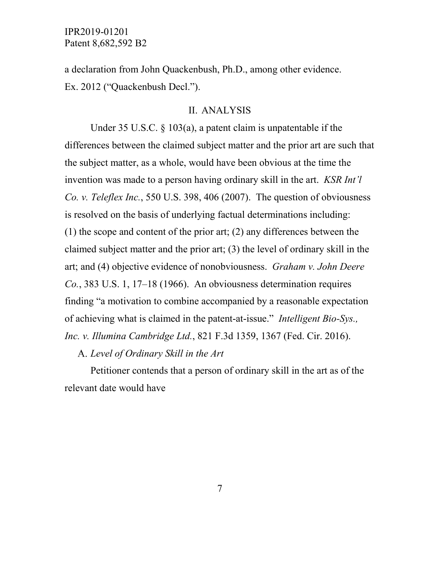a declaration from John Quackenbush, Ph.D., among other evidence. Ex. 2012 ("Quackenbush Decl.").

#### II. ANALYSIS

Under 35 U.S.C. § 103(a), a patent claim is unpatentable if the differences between the claimed subject matter and the prior art are such that the subject matter, as a whole, would have been obvious at the time the invention was made to a person having ordinary skill in the art. *KSR Int'l Co. v. Teleflex Inc.*, 550 U.S. 398, 406 (2007). The question of obviousness is resolved on the basis of underlying factual determinations including: (1) the scope and content of the prior art; (2) any differences between the claimed subject matter and the prior art; (3) the level of ordinary skill in the art; and (4) objective evidence of nonobviousness. *Graham v. John Deere Co.*, 383 U.S. 1, 17–18 (1966). An obviousness determination requires finding "a motivation to combine accompanied by a reasonable expectation of achieving what is claimed in the patent-at-issue." *Intelligent Bio-Sys., Inc. v. Illumina Cambridge Ltd.*, 821 F.3d 1359, 1367 (Fed. Cir. 2016).

*Level of Ordinary Skill in the Art*

Petitioner contends that a person of ordinary skill in the art as of the relevant date would have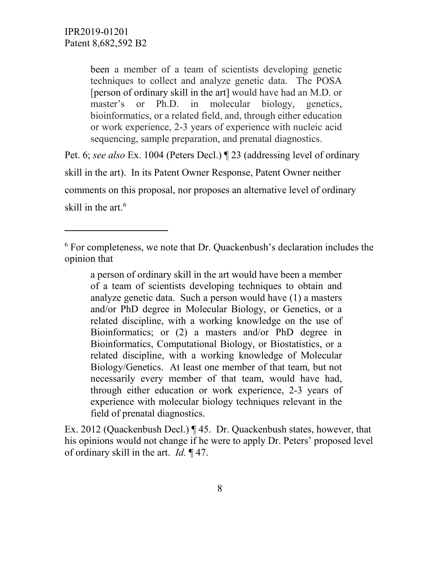$\overline{a}$ 

been a member of a team of scientists developing genetic techniques to collect and analyze genetic data. The POSA [person of ordinary skill in the art] would have had an M.D. or master's or Ph.D. in molecular biology, genetics, bioinformatics, or a related field, and, through either education or work experience, 2-3 years of experience with nucleic acid sequencing, sample preparation, and prenatal diagnostics.

Pet. 6; *see also* Ex. 1004 (Peters Decl.) ¶ 23 (addressing level of ordinary skill in the art). In its Patent Owner Response, Patent Owner neither comments on this proposal, nor proposes an alternative level of ordinary skill in the art. [6](#page-7-0)

a person of ordinary skill in the art would have been a member of a team of scientists developing techniques to obtain and analyze genetic data. Such a person would have (1) a masters and/or PhD degree in Molecular Biology, or Genetics, or a related discipline, with a working knowledge on the use of Bioinformatics; or (2) a masters and/or PhD degree in Bioinformatics, Computational Biology, or Biostatistics, or a related discipline, with a working knowledge of Molecular Biology/Genetics. At least one member of that team, but not necessarily every member of that team, would have had, through either education or work experience, 2-3 years of experience with molecular biology techniques relevant in the field of prenatal diagnostics.

Ex. 2012 (Quackenbush Decl.) ¶ 45. Dr. Quackenbush states, however, that his opinions would not change if he were to apply Dr. Peters' proposed level of ordinary skill in the art. *Id.* ¶ 47.

<span id="page-7-0"></span> $6$  For completeness, we note that Dr. Quackenbush's declaration includes the opinion that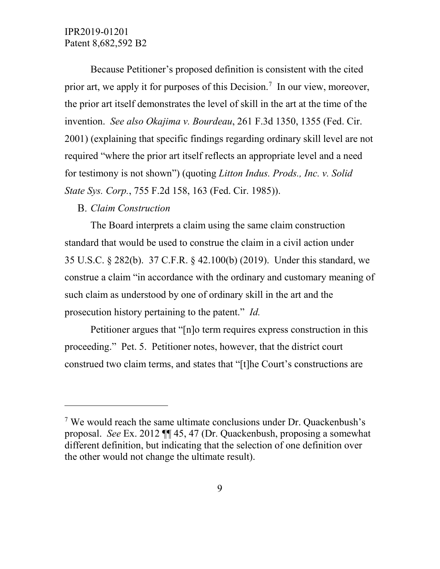Because Petitioner's proposed definition is consistent with the cited prior art, we apply it for purposes of this Decision.<sup>[7](#page-8-0)</sup> In our view, moreover, the prior art itself demonstrates the level of skill in the art at the time of the invention. *See also Okajima v. Bourdeau*, 261 F.3d 1350, 1355 (Fed. Cir. 2001) (explaining that specific findings regarding ordinary skill level are not required "where the prior art itself reflects an appropriate level and a need for testimony is not shown") (quoting *Litton Indus. Prods., Inc. v. Solid State Sys. Corp.*, 755 F.2d 158, 163 (Fed. Cir. 1985)).

## *Claim Construction*

 $\overline{a}$ 

The Board interprets a claim using the same claim construction standard that would be used to construe the claim in a civil action under 35 U.S.C. § 282(b). 37 C.F.R. § 42.100(b) (2019). Under this standard, we construe a claim "in accordance with the ordinary and customary meaning of such claim as understood by one of ordinary skill in the art and the prosecution history pertaining to the patent." *Id.*

Petitioner argues that "[n]o term requires express construction in this proceeding." Pet. 5. Petitioner notes, however, that the district court construed two claim terms, and states that "[t]he Court's constructions are

<span id="page-8-0"></span> $7$  We would reach the same ultimate conclusions under Dr. Quackenbush's proposal. *See* Ex. 2012 ¶¶ 45, 47 (Dr. Quackenbush, proposing a somewhat different definition, but indicating that the selection of one definition over the other would not change the ultimate result).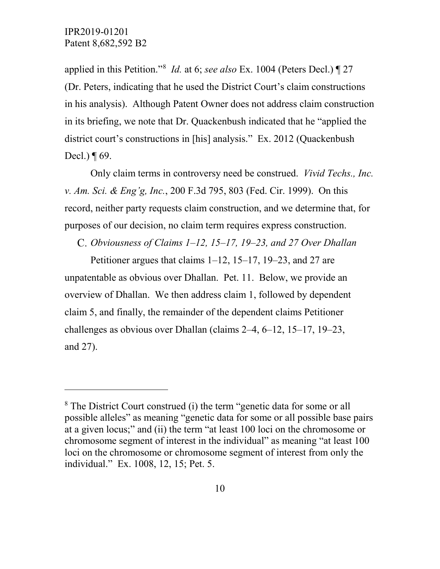$\overline{a}$ 

applied in this Petition."<sup>[8](#page-9-0)</sup> *Id.* at 6; *see also* Ex. 1004 (Peters Decl.) 1 27 (Dr. Peters, indicating that he used the District Court's claim constructions in his analysis). Although Patent Owner does not address claim construction in its briefing, we note that Dr. Quackenbush indicated that he "applied the district court's constructions in [his] analysis." Ex. 2012 (Quackenbush Decl.)  $\P$  69.

Only claim terms in controversy need be construed. *Vivid Techs., Inc. v. Am. Sci. & Eng'g, Inc.*, 200 F.3d 795, 803 (Fed. Cir. 1999). On this record, neither party requests claim construction, and we determine that, for purposes of our decision, no claim term requires express construction.

*Obviousness of Claims 1–12, 15–17, 19–23, and 27 Over Dhallan*

Petitioner argues that claims 1–12, 15–17, 19–23, and 27 are unpatentable as obvious over Dhallan. Pet. 11. Below, we provide an overview of Dhallan. We then address claim 1, followed by dependent claim 5, and finally, the remainder of the dependent claims Petitioner challenges as obvious over Dhallan (claims 2–4, 6–12, 15–17, 19–23, and 27).

<span id="page-9-0"></span><sup>&</sup>lt;sup>8</sup> The District Court construed (i) the term "genetic data for some or all possible alleles" as meaning "genetic data for some or all possible base pairs at a given locus;" and (ii) the term "at least 100 loci on the chromosome or chromosome segment of interest in the individual" as meaning "at least 100 loci on the chromosome or chromosome segment of interest from only the individual." Ex. 1008, 12, 15; Pet. 5.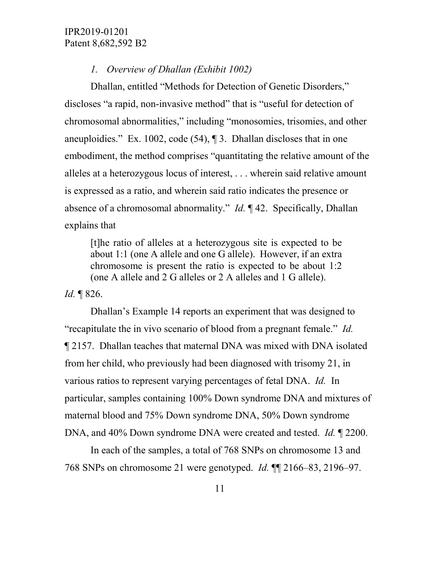#### *1. Overview of Dhallan (Exhibit 1002)*

Dhallan, entitled "Methods for Detection of Genetic Disorders," discloses "a rapid, non-invasive method" that is "useful for detection of chromosomal abnormalities," including "monosomies, trisomies, and other aneuploidies." Ex. 1002, code (54), ¶ 3. Dhallan discloses that in one embodiment, the method comprises "quantitating the relative amount of the alleles at a heterozygous locus of interest, . . . wherein said relative amount is expressed as a ratio, and wherein said ratio indicates the presence or absence of a chromosomal abnormality." *Id.* ¶ 42. Specifically, Dhallan explains that

[t]he ratio of alleles at a heterozygous site is expected to be about 1:1 (one A allele and one G allele). However, if an extra chromosome is present the ratio is expected to be about 1:2 (one A allele and 2 G alleles or 2 A alleles and 1 G allele).

*Id.* ¶ 826.

Dhallan's Example 14 reports an experiment that was designed to "recapitulate the in vivo scenario of blood from a pregnant female." *Id.* ¶ 2157. Dhallan teaches that maternal DNA was mixed with DNA isolated from her child, who previously had been diagnosed with trisomy 21, in various ratios to represent varying percentages of fetal DNA. *Id.* In particular, samples containing 100% Down syndrome DNA and mixtures of maternal blood and 75% Down syndrome DNA, 50% Down syndrome DNA, and 40% Down syndrome DNA were created and tested. *Id.* ¶ 2200.

In each of the samples, a total of 768 SNPs on chromosome 13 and 768 SNPs on chromosome 21 were genotyped. *Id.* ¶¶ 2166–83, 2196–97.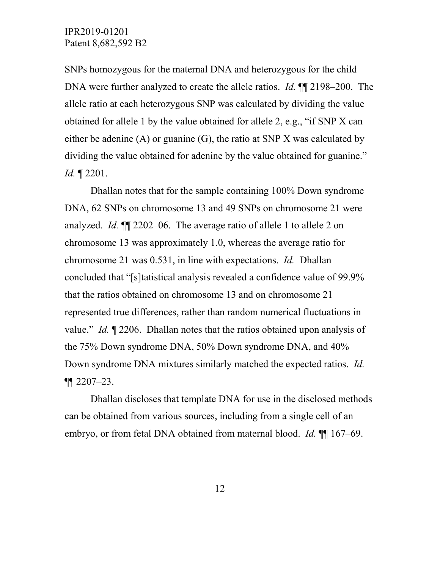SNPs homozygous for the maternal DNA and heterozygous for the child DNA were further analyzed to create the allele ratios. *Id.* ¶¶ 2198–200. The allele ratio at each heterozygous SNP was calculated by dividing the value obtained for allele 1 by the value obtained for allele 2, e.g., "if SNP X can either be adenine (A) or guanine (G), the ratio at SNP X was calculated by dividing the value obtained for adenine by the value obtained for guanine." *Id.* ¶ 2201.

Dhallan notes that for the sample containing 100% Down syndrome DNA, 62 SNPs on chromosome 13 and 49 SNPs on chromosome 21 were analyzed. *Id.* ¶¶ 2202–06. The average ratio of allele 1 to allele 2 on chromosome 13 was approximately 1.0, whereas the average ratio for chromosome 21 was 0.531, in line with expectations. *Id.* Dhallan concluded that "[s]tatistical analysis revealed a confidence value of 99.9% that the ratios obtained on chromosome 13 and on chromosome 21 represented true differences, rather than random numerical fluctuations in value." *Id.* ¶ 2206. Dhallan notes that the ratios obtained upon analysis of the 75% Down syndrome DNA, 50% Down syndrome DNA, and 40% Down syndrome DNA mixtures similarly matched the expected ratios. *Id.*  $\P$  2207–23.

Dhallan discloses that template DNA for use in the disclosed methods can be obtained from various sources, including from a single cell of an embryo, or from fetal DNA obtained from maternal blood. *Id.* ¶¶ 167–69.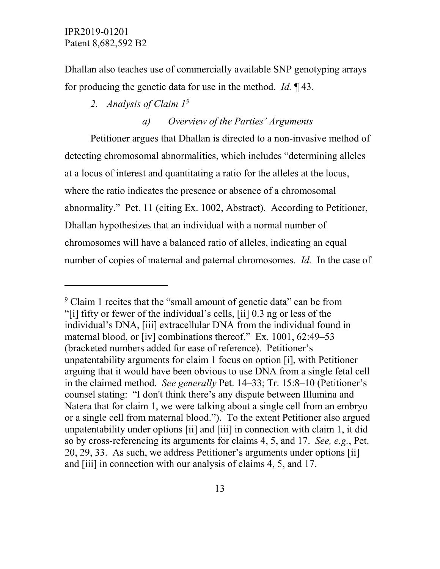$\overline{a}$ 

Dhallan also teaches use of commercially available SNP genotyping arrays for producing the genetic data for use in the method. *Id.* ¶ 43.

*2. Analysis of Claim 1[9](#page-12-0)*

# *a) Overview of the Parties' Arguments*

Petitioner argues that Dhallan is directed to a non-invasive method of detecting chromosomal abnormalities, which includes "determining alleles at a locus of interest and quantitating a ratio for the alleles at the locus, where the ratio indicates the presence or absence of a chromosomal abnormality." Pet. 11 (citing Ex. 1002, Abstract). According to Petitioner, Dhallan hypothesizes that an individual with a normal number of chromosomes will have a balanced ratio of alleles, indicating an equal number of copies of maternal and paternal chromosomes. *Id.* In the case of

<span id="page-12-0"></span><sup>&</sup>lt;sup>9</sup> Claim 1 recites that the "small amount of genetic data" can be from "[i] fifty or fewer of the individual's cells, [ii] 0.3 ng or less of the individual's DNA, [iii] extracellular DNA from the individual found in maternal blood, or [iv] combinations thereof." Ex. 1001, 62:49–53 (bracketed numbers added for ease of reference). Petitioner's unpatentability arguments for claim 1 focus on option [i], with Petitioner arguing that it would have been obvious to use DNA from a single fetal cell in the claimed method. *See generally* Pet. 14–33; Tr. 15:8–10 (Petitioner's counsel stating: "I don't think there's any dispute between Illumina and Natera that for claim 1, we were talking about a single cell from an embryo or a single cell from maternal blood."). To the extent Petitioner also argued unpatentability under options [ii] and [iii] in connection with claim 1, it did so by cross-referencing its arguments for claims 4, 5, and 17. *See, e.g.*, Pet. 20, 29, 33. As such, we address Petitioner's arguments under options [ii] and [iii] in connection with our analysis of claims 4, 5, and 17.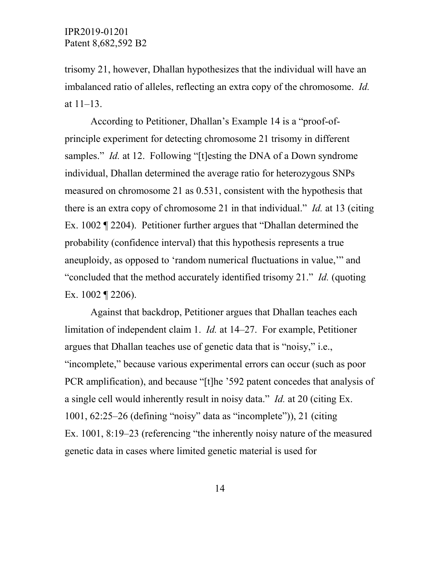trisomy 21, however, Dhallan hypothesizes that the individual will have an imbalanced ratio of alleles, reflecting an extra copy of the chromosome. *Id.* at 11–13.

According to Petitioner, Dhallan's Example 14 is a "proof-ofprinciple experiment for detecting chromosome 21 trisomy in different samples." *Id.* at 12. Following "[t]esting the DNA of a Down syndrome individual, Dhallan determined the average ratio for heterozygous SNPs measured on chromosome 21 as 0.531, consistent with the hypothesis that there is an extra copy of chromosome 21 in that individual." *Id.* at 13 (citing Ex. 1002 ¶ 2204). Petitioner further argues that "Dhallan determined the probability (confidence interval) that this hypothesis represents a true aneuploidy, as opposed to 'random numerical fluctuations in value,'" and "concluded that the method accurately identified trisomy 21." *Id.* (quoting Ex. 1002 ¶ 2206).

Against that backdrop, Petitioner argues that Dhallan teaches each limitation of independent claim 1. *Id.* at 14–27. For example, Petitioner argues that Dhallan teaches use of genetic data that is "noisy," i.e., "incomplete," because various experimental errors can occur (such as poor PCR amplification), and because "[t]he '592 patent concedes that analysis of a single cell would inherently result in noisy data." *Id.* at 20 (citing Ex. 1001, 62:25–26 (defining "noisy" data as "incomplete")), 21 (citing Ex. 1001, 8:19–23 (referencing "the inherently noisy nature of the measured genetic data in cases where limited genetic material is used for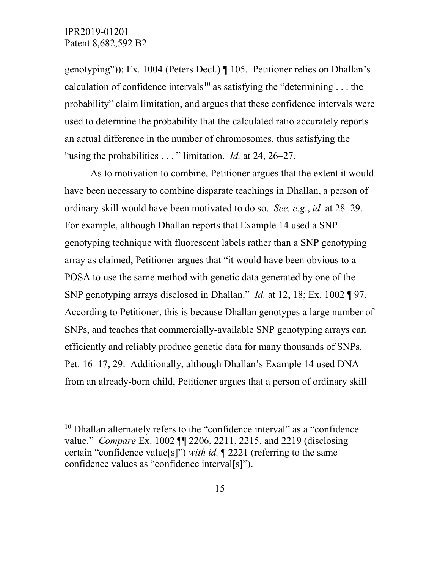$\overline{a}$ 

genotyping")); Ex. 1004 (Peters Decl.) ¶ 105. Petitioner relies on Dhallan's calculation of confidence intervals<sup>[10](#page-14-0)</sup> as satisfying the "determining . . . the probability" claim limitation, and argues that these confidence intervals were used to determine the probability that the calculated ratio accurately reports an actual difference in the number of chromosomes, thus satisfying the "using the probabilities . . . " limitation. *Id.* at 24, 26–27.

As to motivation to combine, Petitioner argues that the extent it would have been necessary to combine disparate teachings in Dhallan, a person of ordinary skill would have been motivated to do so. *See, e.g.*, *id.* at 28–29. For example, although Dhallan reports that Example 14 used a SNP genotyping technique with fluorescent labels rather than a SNP genotyping array as claimed, Petitioner argues that "it would have been obvious to a POSA to use the same method with genetic data generated by one of the SNP genotyping arrays disclosed in Dhallan." *Id.* at 12, 18; Ex. 1002 ¶ 97. According to Petitioner, this is because Dhallan genotypes a large number of SNPs, and teaches that commercially-available SNP genotyping arrays can efficiently and reliably produce genetic data for many thousands of SNPs. Pet. 16–17, 29. Additionally, although Dhallan's Example 14 used DNA from an already-born child, Petitioner argues that a person of ordinary skill

<span id="page-14-0"></span><sup>&</sup>lt;sup>10</sup> Dhallan alternately refers to the "confidence interval" as a "confidence value." *Compare* Ex. 1002 ¶¶ 2206, 2211, 2215, and 2219 (disclosing certain "confidence value[s]") *with id.* ¶ 2221 (referring to the same confidence values as "confidence interval[s]").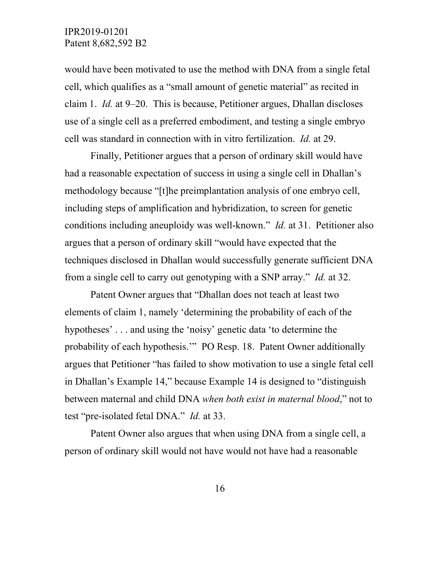would have been motivated to use the method with DNA from a single fetal cell, which qualifies as a "small amount of genetic material" as recited in claim 1. *Id.* at 9–20. This is because, Petitioner argues, Dhallan discloses use of a single cell as a preferred embodiment, and testing a single embryo cell was standard in connection with in vitro fertilization. *Id.* at 29.

Finally, Petitioner argues that a person of ordinary skill would have had a reasonable expectation of success in using a single cell in Dhallan's methodology because "[t]he preimplantation analysis of one embryo cell, including steps of amplification and hybridization, to screen for genetic conditions including aneuploidy was well-known." *Id.* at 31. Petitioner also argues that a person of ordinary skill "would have expected that the techniques disclosed in Dhallan would successfully generate sufficient DNA from a single cell to carry out genotyping with a SNP array." *Id.* at 32.

Patent Owner argues that "Dhallan does not teach at least two elements of claim 1, namely 'determining the probability of each of the hypotheses' . . . and using the 'noisy' genetic data 'to determine the probability of each hypothesis.'" PO Resp. 18. Patent Owner additionally argues that Petitioner "has failed to show motivation to use a single fetal cell in Dhallan's Example 14," because Example 14 is designed to "distinguish between maternal and child DNA *when both exist in maternal blood*," not to test "pre-isolated fetal DNA." *Id.* at 33.

Patent Owner also argues that when using DNA from a single cell, a person of ordinary skill would not have would not have had a reasonable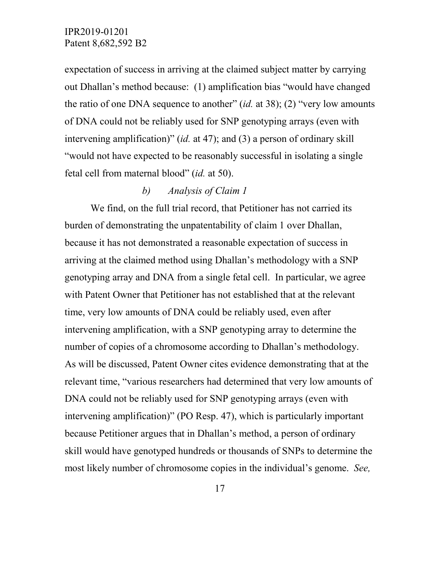expectation of success in arriving at the claimed subject matter by carrying out Dhallan's method because: (1) amplification bias "would have changed the ratio of one DNA sequence to another" (*id.* at 38); (2) "very low amounts of DNA could not be reliably used for SNP genotyping arrays (even with intervening amplification)" (*id.* at 47); and (3) a person of ordinary skill "would not have expected to be reasonably successful in isolating a single fetal cell from maternal blood" (*id.* at 50).

## *b) Analysis of Claim 1*

We find, on the full trial record, that Petitioner has not carried its burden of demonstrating the unpatentability of claim 1 over Dhallan, because it has not demonstrated a reasonable expectation of success in arriving at the claimed method using Dhallan's methodology with a SNP genotyping array and DNA from a single fetal cell. In particular, we agree with Patent Owner that Petitioner has not established that at the relevant time, very low amounts of DNA could be reliably used, even after intervening amplification, with a SNP genotyping array to determine the number of copies of a chromosome according to Dhallan's methodology. As will be discussed, Patent Owner cites evidence demonstrating that at the relevant time, "various researchers had determined that very low amounts of DNA could not be reliably used for SNP genotyping arrays (even with intervening amplification)" (PO Resp. 47), which is particularly important because Petitioner argues that in Dhallan's method, a person of ordinary skill would have genotyped hundreds or thousands of SNPs to determine the most likely number of chromosome copies in the individual's genome. *See,*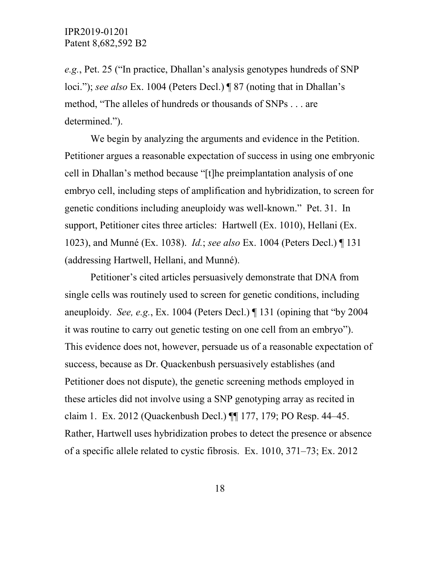*e.g.*, Pet. 25 ("In practice, Dhallan's analysis genotypes hundreds of SNP loci."); *see also* Ex. 1004 (Peters Decl.) ¶ 87 (noting that in Dhallan's method, "The alleles of hundreds or thousands of SNPs . . . are determined.").

We begin by analyzing the arguments and evidence in the Petition. Petitioner argues a reasonable expectation of success in using one embryonic cell in Dhallan's method because "[t]he preimplantation analysis of one embryo cell, including steps of amplification and hybridization, to screen for genetic conditions including aneuploidy was well-known." Pet. 31. In support, Petitioner cites three articles: Hartwell (Ex. 1010), Hellani (Ex. 1023), and Munné (Ex. 1038). *Id.*; *see also* Ex. 1004 (Peters Decl.) ¶ 131 (addressing Hartwell, Hellani, and Munné).

Petitioner's cited articles persuasively demonstrate that DNA from single cells was routinely used to screen for genetic conditions, including aneuploidy. *See, e.g.*, Ex. 1004 (Peters Decl.) ¶ 131 (opining that "by 2004 it was routine to carry out genetic testing on one cell from an embryo"). This evidence does not, however, persuade us of a reasonable expectation of success, because as Dr. Quackenbush persuasively establishes (and Petitioner does not dispute), the genetic screening methods employed in these articles did not involve using a SNP genotyping array as recited in claim 1. Ex. 2012 (Quackenbush Decl.) ¶¶ 177, 179; PO Resp. 44–45. Rather, Hartwell uses hybridization probes to detect the presence or absence of a specific allele related to cystic fibrosis. Ex. 1010, 371–73; Ex. 2012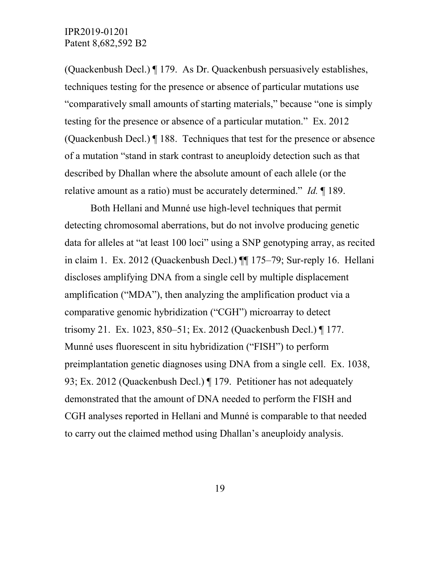(Quackenbush Decl.) ¶ 179. As Dr. Quackenbush persuasively establishes, techniques testing for the presence or absence of particular mutations use "comparatively small amounts of starting materials," because "one is simply testing for the presence or absence of a particular mutation." Ex. 2012 (Quackenbush Decl.) ¶ 188. Techniques that test for the presence or absence of a mutation "stand in stark contrast to aneuploidy detection such as that described by Dhallan where the absolute amount of each allele (or the relative amount as a ratio) must be accurately determined." *Id.* ¶ 189.

Both Hellani and Munné use high-level techniques that permit detecting chromosomal aberrations, but do not involve producing genetic data for alleles at "at least 100 loci" using a SNP genotyping array, as recited in claim 1. Ex. 2012 (Quackenbush Decl.) ¶¶ 175–79; Sur-reply 16. Hellani discloses amplifying DNA from a single cell by multiple displacement amplification ("MDA"), then analyzing the amplification product via a comparative genomic hybridization ("CGH") microarray to detect trisomy 21. Ex. 1023, 850–51; Ex. 2012 (Quackenbush Decl.) ¶ 177. Munné uses fluorescent in situ hybridization ("FISH") to perform preimplantation genetic diagnoses using DNA from a single cell. Ex. 1038, 93; Ex. 2012 (Quackenbush Decl.) ¶ 179. Petitioner has not adequately demonstrated that the amount of DNA needed to perform the FISH and CGH analyses reported in Hellani and Munné is comparable to that needed to carry out the claimed method using Dhallan's aneuploidy analysis.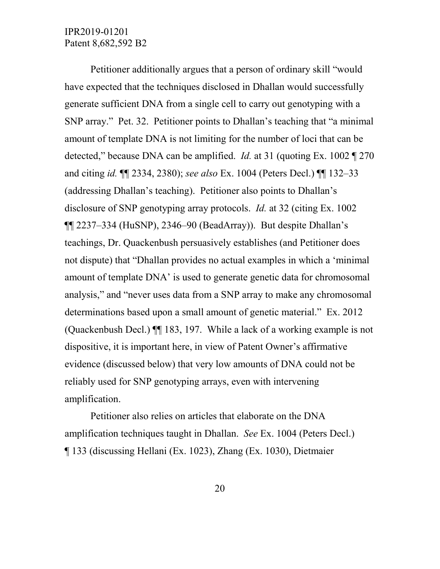Petitioner additionally argues that a person of ordinary skill "would have expected that the techniques disclosed in Dhallan would successfully generate sufficient DNA from a single cell to carry out genotyping with a SNP array." Pet. 32. Petitioner points to Dhallan's teaching that "a minimal amount of template DNA is not limiting for the number of loci that can be detected," because DNA can be amplified. *Id.* at 31 (quoting Ex. 1002 ¶ 270 and citing *id.* ¶¶ 2334, 2380); *see also* Ex. 1004 (Peters Decl.) ¶¶ 132–33 (addressing Dhallan's teaching). Petitioner also points to Dhallan's disclosure of SNP genotyping array protocols. *Id.* at 32 (citing Ex. 1002 ¶¶ 2237–334 (HuSNP), 2346–90 (BeadArray)). But despite Dhallan's teachings, Dr. Quackenbush persuasively establishes (and Petitioner does not dispute) that "Dhallan provides no actual examples in which a 'minimal amount of template DNA' is used to generate genetic data for chromosomal analysis," and "never uses data from a SNP array to make any chromosomal determinations based upon a small amount of genetic material." Ex. 2012 (Quackenbush Decl.) ¶¶ 183, 197. While a lack of a working example is not dispositive, it is important here, in view of Patent Owner's affirmative evidence (discussed below) that very low amounts of DNA could not be reliably used for SNP genotyping arrays, even with intervening amplification.

Petitioner also relies on articles that elaborate on the DNA amplification techniques taught in Dhallan. *See* Ex. 1004 (Peters Decl.) ¶ 133 (discussing Hellani (Ex. 1023), Zhang (Ex. 1030), Dietmaier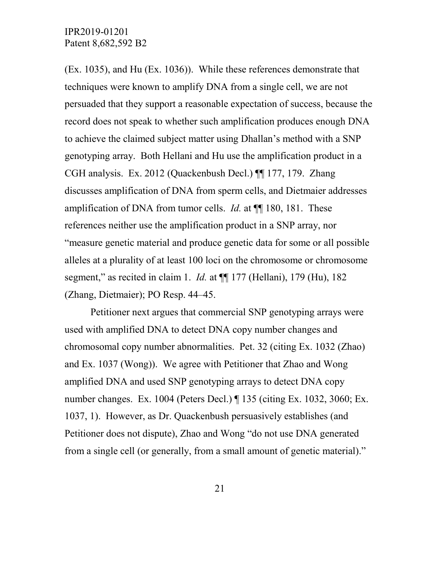(Ex. 1035), and Hu (Ex. 1036)). While these references demonstrate that techniques were known to amplify DNA from a single cell, we are not persuaded that they support a reasonable expectation of success, because the record does not speak to whether such amplification produces enough DNA to achieve the claimed subject matter using Dhallan's method with a SNP genotyping array. Both Hellani and Hu use the amplification product in a CGH analysis. Ex. 2012 (Quackenbush Decl.) ¶¶ 177, 179. Zhang discusses amplification of DNA from sperm cells, and Dietmaier addresses amplification of DNA from tumor cells. *Id.* at  $\P$  180, 181. These references neither use the amplification product in a SNP array, nor "measure genetic material and produce genetic data for some or all possible alleles at a plurality of at least 100 loci on the chromosome or chromosome segment," as recited in claim 1. *Id.* at ¶¶ 177 (Hellani), 179 (Hu), 182 (Zhang, Dietmaier); PO Resp. 44–45.

Petitioner next argues that commercial SNP genotyping arrays were used with amplified DNA to detect DNA copy number changes and chromosomal copy number abnormalities. Pet. 32 (citing Ex. 1032 (Zhao) and Ex. 1037 (Wong)). We agree with Petitioner that Zhao and Wong amplified DNA and used SNP genotyping arrays to detect DNA copy number changes. Ex. 1004 (Peters Decl.) ¶ 135 (citing Ex. 1032, 3060; Ex. 1037, 1). However, as Dr. Quackenbush persuasively establishes (and Petitioner does not dispute), Zhao and Wong "do not use DNA generated from a single cell (or generally, from a small amount of genetic material)."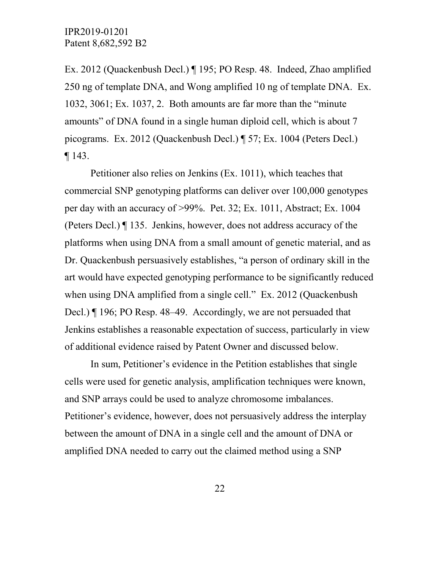Ex. 2012 (Quackenbush Decl.) ¶ 195; PO Resp. 48. Indeed, Zhao amplified 250 ng of template DNA, and Wong amplified 10 ng of template DNA. Ex. 1032, 3061; Ex. 1037, 2. Both amounts are far more than the "minute amounts" of DNA found in a single human diploid cell, which is about 7 picograms. Ex. 2012 (Quackenbush Decl.) ¶ 57; Ex. 1004 (Peters Decl.) ¶ 143.

Petitioner also relies on Jenkins (Ex. 1011), which teaches that commercial SNP genotyping platforms can deliver over 100,000 genotypes per day with an accuracy of >99%. Pet. 32; Ex. 1011, Abstract; Ex. 1004 (Peters Decl.) ¶ 135. Jenkins, however, does not address accuracy of the platforms when using DNA from a small amount of genetic material, and as Dr. Quackenbush persuasively establishes, "a person of ordinary skill in the art would have expected genotyping performance to be significantly reduced when using DNA amplified from a single cell." Ex. 2012 (Quackenbush Decl.) ¶ 196; PO Resp. 48–49. Accordingly, we are not persuaded that Jenkins establishes a reasonable expectation of success, particularly in view of additional evidence raised by Patent Owner and discussed below.

In sum, Petitioner's evidence in the Petition establishes that single cells were used for genetic analysis, amplification techniques were known, and SNP arrays could be used to analyze chromosome imbalances. Petitioner's evidence, however, does not persuasively address the interplay between the amount of DNA in a single cell and the amount of DNA or amplified DNA needed to carry out the claimed method using a SNP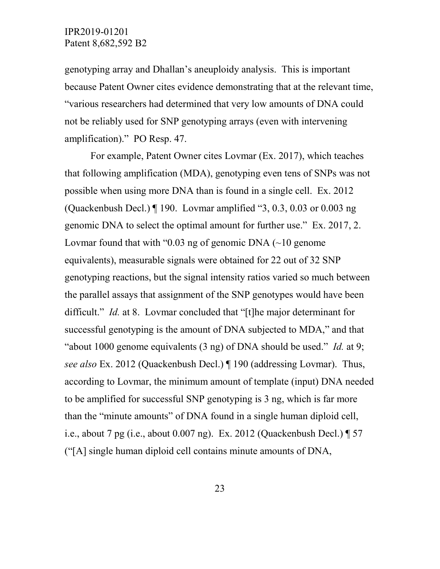genotyping array and Dhallan's aneuploidy analysis. This is important because Patent Owner cites evidence demonstrating that at the relevant time, "various researchers had determined that very low amounts of DNA could not be reliably used for SNP genotyping arrays (even with intervening amplification)." PO Resp. 47.

For example, Patent Owner cites Lovmar (Ex. 2017), which teaches that following amplification (MDA), genotyping even tens of SNPs was not possible when using more DNA than is found in a single cell. Ex. 2012 (Quackenbush Decl.) ¶ 190. Lovmar amplified "3, 0.3, 0.03 or 0.003 ng genomic DNA to select the optimal amount for further use." Ex. 2017, 2. Lovmar found that with "0.03 ng of genomic DNA  $(\sim]$  a genome equivalents), measurable signals were obtained for 22 out of 32 SNP genotyping reactions, but the signal intensity ratios varied so much between the parallel assays that assignment of the SNP genotypes would have been difficult." *Id.* at 8. Lovmar concluded that "[t]he major determinant for successful genotyping is the amount of DNA subjected to MDA," and that "about 1000 genome equivalents (3 ng) of DNA should be used." *Id.* at 9; *see also* Ex. 2012 (Quackenbush Decl.) ¶ 190 (addressing Lovmar). Thus, according to Lovmar, the minimum amount of template (input) DNA needed to be amplified for successful SNP genotyping is 3 ng, which is far more than the "minute amounts" of DNA found in a single human diploid cell, i.e., about 7 pg (i.e., about 0.007 ng). Ex. 2012 (Quackenbush Decl.) ¶ 57 ("[A] single human diploid cell contains minute amounts of DNA,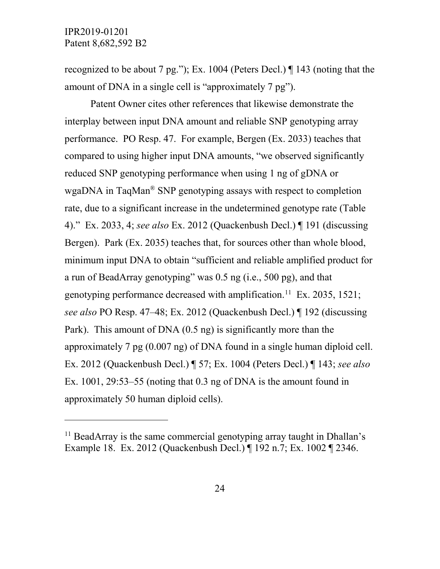$\overline{a}$ 

recognized to be about 7 pg."); Ex. 1004 (Peters Decl.) ¶ 143 (noting that the amount of DNA in a single cell is "approximately 7 pg").

Patent Owner cites other references that likewise demonstrate the interplay between input DNA amount and reliable SNP genotyping array performance. PO Resp. 47. For example, Bergen (Ex. 2033) teaches that compared to using higher input DNA amounts, "we observed significantly reduced SNP genotyping performance when using 1 ng of gDNA or wgaDNA in TaqMan® SNP genotyping assays with respect to completion rate, due to a significant increase in the undetermined genotype rate (Table 4)." Ex. 2033, 4; *see also* Ex. 2012 (Quackenbush Decl.) ¶ 191 (discussing Bergen). Park (Ex. 2035) teaches that, for sources other than whole blood, minimum input DNA to obtain "sufficient and reliable amplified product for a run of BeadArray genotyping" was 0.5 ng (i.e., 500 pg), and that genotyping performance decreased with amplification.<sup>11</sup> Ex. 2035, 1521; *see also* PO Resp. 47–48; Ex. 2012 (Quackenbush Decl.) ¶ 192 (discussing Park). This amount of DNA (0.5 ng) is significantly more than the approximately 7 pg (0.007 ng) of DNA found in a single human diploid cell. Ex. 2012 (Quackenbush Decl.) ¶ 57; Ex. 1004 (Peters Decl.) ¶ 143; *see also* Ex.  $1001$ ,  $29:53-55$  (noting that 0.3 ng of DNA is the amount found in approximately 50 human diploid cells).

<span id="page-23-0"></span> $11$  BeadArray is the same commercial genotyping array taught in Dhallan's Example 18. Ex. 2012 (Quackenbush Decl.) ¶ 192 n.7; Ex. 1002 ¶ 2346.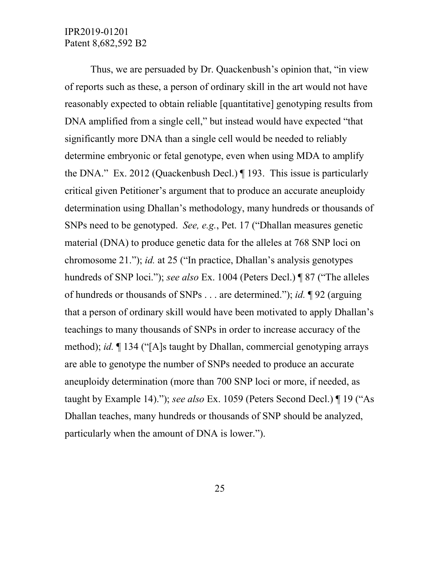Thus, we are persuaded by Dr. Quackenbush's opinion that, "in view of reports such as these, a person of ordinary skill in the art would not have reasonably expected to obtain reliable [quantitative] genotyping results from DNA amplified from a single cell," but instead would have expected "that significantly more DNA than a single cell would be needed to reliably determine embryonic or fetal genotype, even when using MDA to amplify the DNA." Ex. 2012 (Quackenbush Decl.) ¶ 193. This issue is particularly critical given Petitioner's argument that to produce an accurate aneuploidy determination using Dhallan's methodology, many hundreds or thousands of SNPs need to be genotyped. *See, e.g.*, Pet. 17 ("Dhallan measures genetic material (DNA) to produce genetic data for the alleles at 768 SNP loci on chromosome 21."); *id.* at 25 ("In practice, Dhallan's analysis genotypes hundreds of SNP loci."); *see also* Ex. 1004 (Peters Decl.) ¶ 87 ("The alleles of hundreds or thousands of SNPs . . . are determined."); *id.* ¶ 92 (arguing that a person of ordinary skill would have been motivated to apply Dhallan's teachings to many thousands of SNPs in order to increase accuracy of the method); *id.* ¶ 134 ("[A]s taught by Dhallan, commercial genotyping arrays are able to genotype the number of SNPs needed to produce an accurate aneuploidy determination (more than 700 SNP loci or more, if needed, as taught by Example 14)."); *see also* Ex. 1059 (Peters Second Decl.) ¶ 19 ("As Dhallan teaches, many hundreds or thousands of SNP should be analyzed, particularly when the amount of DNA is lower.").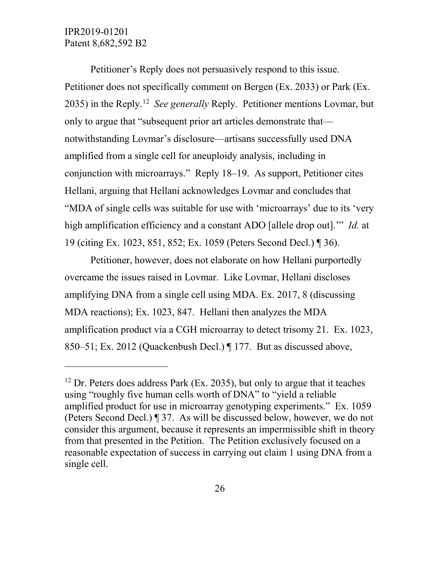$\overline{a}$ 

Petitioner's Reply does not persuasively respond to this issue. Petitioner does not specifically comment on Bergen (Ex. 2033) or Park (Ex. 2035) in the Reply.[12](#page-25-0) *See generally* Reply. Petitioner mentions Lovmar, but only to argue that "subsequent prior art articles demonstrate that notwithstanding Lovmar's disclosure—artisans successfully used DNA amplified from a single cell for aneuploidy analysis, including in conjunction with microarrays." Reply 18–19. As support, Petitioner cites Hellani, arguing that Hellani acknowledges Lovmar and concludes that "MDA of single cells was suitable for use with 'microarrays' due to its 'very high amplification efficiency and a constant ADO [allele drop out].'" *Id.* at 19 (citing Ex. 1023, 851, 852; Ex. 1059 (Peters Second Decl.) ¶ 36).

Petitioner, however, does not elaborate on how Hellani purportedly overcame the issues raised in Lovmar. Like Lovmar, Hellani discloses amplifying DNA from a single cell using MDA. Ex. 2017, 8 (discussing MDA reactions); Ex. 1023, 847. Hellani then analyzes the MDA amplification product via a CGH microarray to detect trisomy 21. Ex. 1023, 850–51; Ex. 2012 (Quackenbush Decl.) ¶ 177. But as discussed above,

<span id="page-25-0"></span> $12$  Dr. Peters does address Park (Ex. 2035), but only to argue that it teaches using "roughly five human cells worth of DNA" to "yield a reliable amplified product for use in microarray genotyping experiments." Ex. 1059 (Peters Second Decl.) ¶ 37. As will be discussed below, however, we do not consider this argument, because it represents an impermissible shift in theory from that presented in the Petition. The Petition exclusively focused on a reasonable expectation of success in carrying out claim 1 using DNA from a single cell.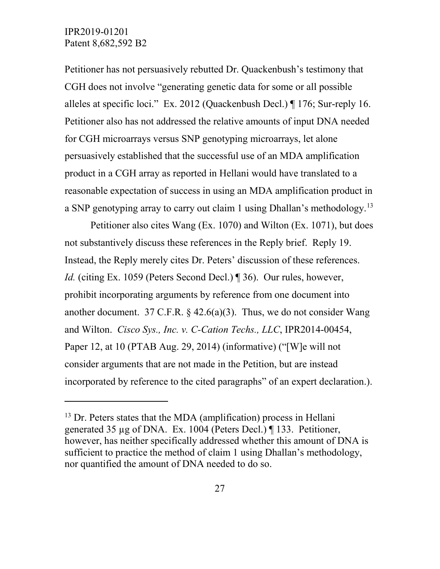$\overline{a}$ 

Petitioner has not persuasively rebutted Dr. Quackenbush's testimony that CGH does not involve "generating genetic data for some or all possible alleles at specific loci." Ex. 2012 (Quackenbush Decl.) ¶ 176; Sur-reply 16. Petitioner also has not addressed the relative amounts of input DNA needed for CGH microarrays versus SNP genotyping microarrays, let alone persuasively established that the successful use of an MDA amplification product in a CGH array as reported in Hellani would have translated to a reasonable expectation of success in using an MDA amplification product in a SNP genotyping array to carry out claim 1 using Dhallan's methodology.<sup>[13](#page-26-0)</sup>

Petitioner also cites Wang (Ex. 1070) and Wilton (Ex. 1071), but does not substantively discuss these references in the Reply brief. Reply 19. Instead, the Reply merely cites Dr. Peters' discussion of these references. *Id.* (citing Ex. 1059 (Peters Second Decl.) [36). Our rules, however, prohibit incorporating arguments by reference from one document into another document. 37 C.F.R.  $\frac{6}{9}$  42.6(a)(3). Thus, we do not consider Wang and Wilton. *Cisco Sys., Inc. v. C-Cation Techs., LLC*, IPR2014-00454, Paper 12, at 10 (PTAB Aug. 29, 2014) (informative) ("[W]e will not consider arguments that are not made in the Petition, but are instead incorporated by reference to the cited paragraphs" of an expert declaration.).

<span id="page-26-0"></span> $13$  Dr. Peters states that the MDA (amplification) process in Hellani generated 35 µg of DNA. Ex. 1004 (Peters Decl.) ¶ 133. Petitioner, however, has neither specifically addressed whether this amount of DNA is sufficient to practice the method of claim 1 using Dhallan's methodology, nor quantified the amount of DNA needed to do so.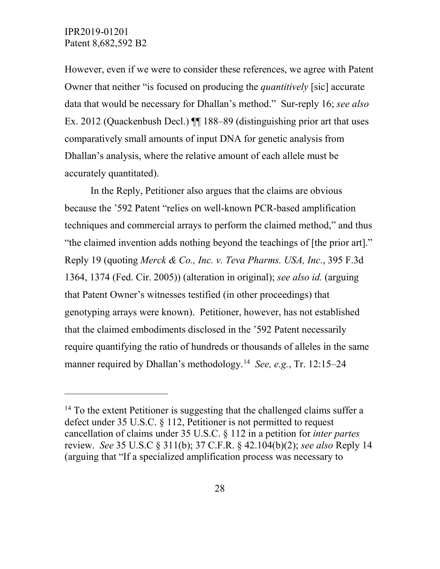$\overline{a}$ 

However, even if we were to consider these references, we agree with Patent Owner that neither "is focused on producing the *quantitively* [sic] accurate data that would be necessary for Dhallan's method." Sur-reply 16; *see also* Ex. 2012 (Quackenbush Decl.) ¶¶ 188–89 (distinguishing prior art that uses comparatively small amounts of input DNA for genetic analysis from Dhallan's analysis, where the relative amount of each allele must be accurately quantitated).

In the Reply, Petitioner also argues that the claims are obvious because the '592 Patent "relies on well-known PCR-based amplification techniques and commercial arrays to perform the claimed method," and thus "the claimed invention adds nothing beyond the teachings of [the prior art]." Reply 19 (quoting *Merck & Co., Inc. v. Teva Pharms. USA, Inc.*, 395 F.3d 1364, 1374 (Fed. Cir. 2005)) (alteration in original); *see also id.* (arguing that Patent Owner's witnesses testified (in other proceedings) that genotyping arrays were known). Petitioner, however, has not established that the claimed embodiments disclosed in the '592 Patent necessarily require quantifying the ratio of hundreds or thousands of alleles in the same manner required by Dhallan's methodology.[14](#page-27-0) *See, e.g.*, Tr. 12:15–24

<span id="page-27-0"></span> $14$  To the extent Petitioner is suggesting that the challenged claims suffer a defect under [35 U.S.C. §](https://1.next.westlaw.com/Link/Document/FullText?findType=L&pubNum=1000546&cite=35USCAS112&originatingDoc=If1169b711c4511e6a807ad48145ed9f1&refType=LQ&originationContext=document&transitionType=DocumentItem&contextData=(sc.Search)) 112, Petitioner is not permitted to request cancellation of claims under [35 U.S.C. §](https://1.next.westlaw.com/Link/Document/FullText?findType=L&pubNum=1000546&cite=35USCAS112&originatingDoc=If1169b711c4511e6a807ad48145ed9f1&refType=LQ&originationContext=document&transitionType=DocumentItem&contextData=(sc.Search)) 112 in a petition for *inter partes* review. *See* [35 U.S.C §](https://1.next.westlaw.com/Link/Document/FullText?findType=L&pubNum=1000546&cite=35USCAS311&originatingDoc=If1169b711c4511e6a807ad48145ed9f1&refType=LQ&originationContext=document&transitionType=DocumentItem&contextData=(sc.Search)) 311(b); 37 C.F.R. § [42.104\(b\)\(2\);](https://1.next.westlaw.com/Link/Document/FullText?findType=L&pubNum=1000547&cite=37CFRS42.104&originatingDoc=If1169b711c4511e6a807ad48145ed9f1&refType=LQ&originationContext=document&transitionType=DocumentItem&contextData=(sc.Search)) *see also* Reply 14 (arguing that "If a specialized amplification process was necessary to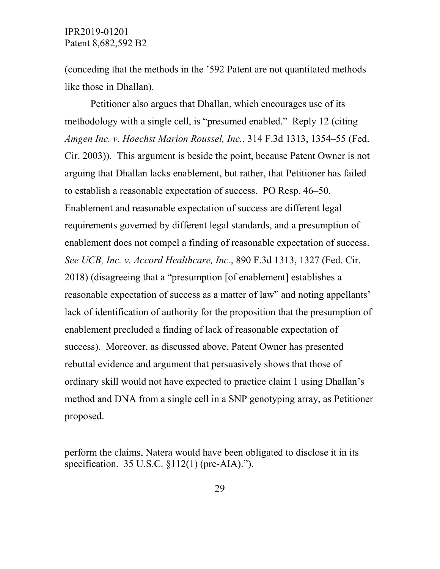$\overline{a}$ 

(conceding that the methods in the '592 Patent are not quantitated methods like those in Dhallan).

Petitioner also argues that Dhallan, which encourages use of its methodology with a single cell, is "presumed enabled." Reply 12 (citing *Amgen Inc. v. Hoechst Marion Roussel, Inc.*, 314 F.3d 1313, 1354–55 (Fed. Cir. 2003)). This argument is beside the point, because Patent Owner is not arguing that Dhallan lacks enablement, but rather, that Petitioner has failed to establish a reasonable expectation of success. PO Resp. 46–50. Enablement and reasonable expectation of success are different legal requirements governed by different legal standards, and a presumption of enablement does not compel a finding of reasonable expectation of success. *See UCB, Inc. v. Accord Healthcare, Inc.*, 890 F.3d 1313, 1327 (Fed. Cir. 2018) (disagreeing that a "presumption [of enablement] establishes a reasonable expectation of success as a matter of law" and noting appellants' lack of identification of authority for the proposition that the presumption of enablement precluded a finding of lack of reasonable expectation of success). Moreover, as discussed above, Patent Owner has presented rebuttal evidence and argument that persuasively shows that those of ordinary skill would not have expected to practice claim 1 using Dhallan's method and DNA from a single cell in a SNP genotyping array, as Petitioner proposed.

perform the claims, Natera would have been obligated to disclose it in its specification. 35 U.S.C. §112(1) (pre-AIA).").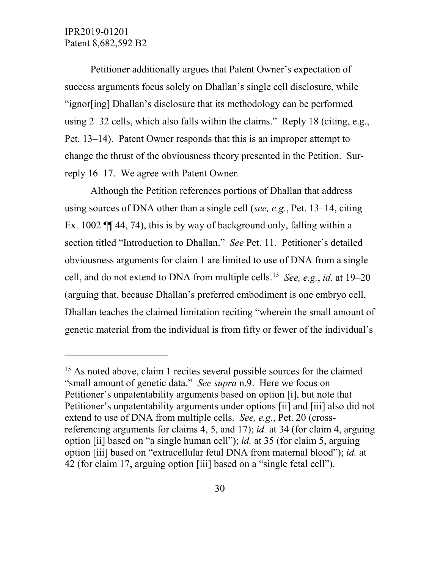$\overline{a}$ 

Petitioner additionally argues that Patent Owner's expectation of success arguments focus solely on Dhallan's single cell disclosure, while "ignor[ing] Dhallan's disclosure that its methodology can be performed using 2–32 cells, which also falls within the claims." Reply 18 (citing, e.g., Pet. 13–14). Patent Owner responds that this is an improper attempt to change the thrust of the obviousness theory presented in the Petition. Surreply 16–17. We agree with Patent Owner.

Although the Petition references portions of Dhallan that address using sources of DNA other than a single cell (*see, e.g.*, Pet. 13–14, citing Ex. 1002 ¶¶ 44, 74), this is by way of background only, falling within a section titled "Introduction to Dhallan." *See* Pet. 11. Petitioner's detailed obviousness arguments for claim 1 are limited to use of DNA from a single cell, and do not extend to DNA from multiple cells. [15](#page-29-0) *See, e.g.*, *id.* at 19–20 (arguing that, because Dhallan's preferred embodiment is one embryo cell, Dhallan teaches the claimed limitation reciting "wherein the small amount of genetic material from the individual is from fifty or fewer of the individual's

<span id="page-29-0"></span><sup>&</sup>lt;sup>15</sup> As noted above, claim 1 recites several possible sources for the claimed "small amount of genetic data." *See supra* n.9. Here we focus on Petitioner's unpatentability arguments based on option [i], but note that Petitioner's unpatentability arguments under options [ii] and [iii] also did not extend to use of DNA from multiple cells. *See, e.g.*, Pet. 20 (crossreferencing arguments for claims 4, 5, and 17); *id.* at 34 (for claim 4, arguing option [ii] based on "a single human cell"); *id.* at 35 (for claim 5, arguing option [iii] based on "extracellular fetal DNA from maternal blood"); *id.* at 42 (for claim 17, arguing option [iii] based on a "single fetal cell").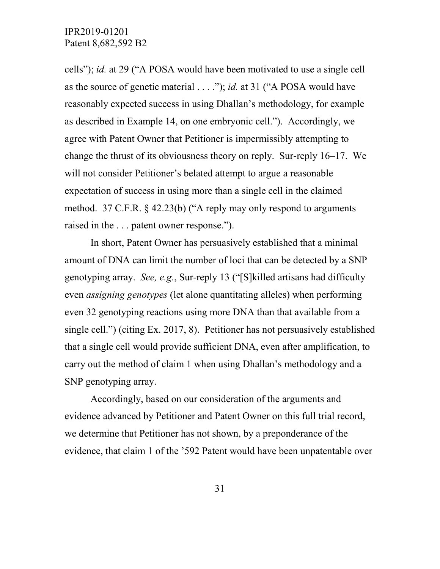cells"); *id.* at 29 ("A POSA would have been motivated to use a single cell as the source of genetic material . . . ."); *id.* at 31 ("A POSA would have reasonably expected success in using Dhallan's methodology, for example as described in Example 14, on one embryonic cell."). Accordingly, we agree with Patent Owner that Petitioner is impermissibly attempting to change the thrust of its obviousness theory on reply. Sur-reply 16–17. We will not consider Petitioner's belated attempt to argue a reasonable expectation of success in using more than a single cell in the claimed method. 37 C.F.R. § 42.23(b) ("A reply may only respond to arguments raised in the . . . patent owner response.").

In short, Patent Owner has persuasively established that a minimal amount of DNA can limit the number of loci that can be detected by a SNP genotyping array. *See, e.g.*, Sur-reply 13 ("[S]killed artisans had difficulty even *assigning genotypes* (let alone quantitating alleles) when performing even 32 genotyping reactions using more DNA than that available from a single cell.") (citing Ex. 2017, 8). Petitioner has not persuasively established that a single cell would provide sufficient DNA, even after amplification, to carry out the method of claim 1 when using Dhallan's methodology and a SNP genotyping array.

Accordingly, based on our consideration of the arguments and evidence advanced by Petitioner and Patent Owner on this full trial record, we determine that Petitioner has not shown, by a preponderance of the evidence, that claim 1 of the '592 Patent would have been unpatentable over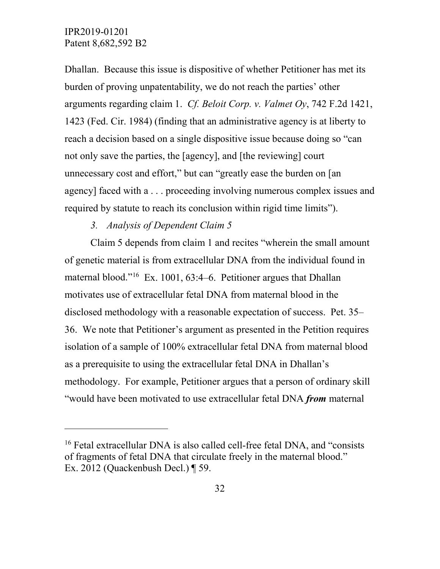$\overline{a}$ 

Dhallan. Because this issue is dispositive of whether Petitioner has met its burden of proving unpatentability, we do not reach the parties' other arguments regarding claim 1. *Cf. Beloit Corp. v. Valmet Oy*, 742 F.2d 1421, 1423 (Fed. Cir. 1984) (finding that an administrative agency is at liberty to reach a decision based on a single dispositive issue because doing so "can not only save the parties, the [agency], and [the reviewing] court unnecessary cost and effort," but can "greatly ease the burden on [an agency] faced with a . . . proceeding involving numerous complex issues and required by statute to reach its conclusion within rigid time limits").

## *3. Analysis of Dependent Claim 5*

Claim 5 depends from claim 1 and recites "wherein the small amount of genetic material is from extracellular DNA from the individual found in maternal blood."[16](#page-31-0) Ex. 1001, 63:4–6. Petitioner argues that Dhallan motivates use of extracellular fetal DNA from maternal blood in the disclosed methodology with a reasonable expectation of success. Pet. 35– 36. We note that Petitioner's argument as presented in the Petition requires isolation of a sample of 100% extracellular fetal DNA from maternal blood as a prerequisite to using the extracellular fetal DNA in Dhallan's methodology. For example, Petitioner argues that a person of ordinary skill "would have been motivated to use extracellular fetal DNA *from* maternal

<span id="page-31-0"></span><sup>&</sup>lt;sup>16</sup> Fetal extracellular DNA is also called cell-free fetal DNA, and "consists" of fragments of fetal DNA that circulate freely in the maternal blood." Ex. 2012 (Quackenbush Decl.) ¶ 59.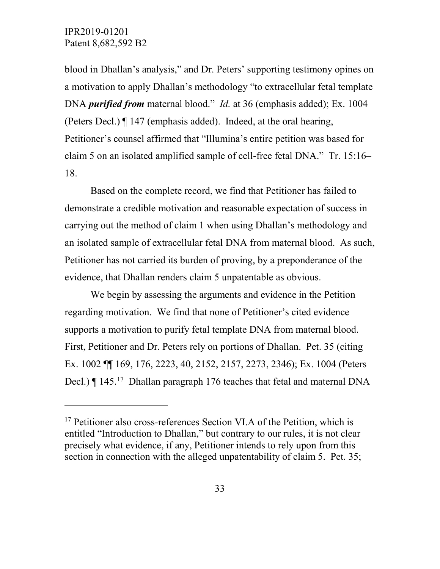$\overline{a}$ 

blood in Dhallan's analysis," and Dr. Peters' supporting testimony opines on a motivation to apply Dhallan's methodology "to extracellular fetal template DNA *purified from* maternal blood." *Id.* at 36 (emphasis added); Ex. 1004 (Peters Decl.) ¶ 147 (emphasis added). Indeed, at the oral hearing, Petitioner's counsel affirmed that "Illumina's entire petition was based for claim 5 on an isolated amplified sample of cell-free fetal DNA." Tr. 15:16– 18.

Based on the complete record, we find that Petitioner has failed to demonstrate a credible motivation and reasonable expectation of success in carrying out the method of claim 1 when using Dhallan's methodology and an isolated sample of extracellular fetal DNA from maternal blood. As such, Petitioner has not carried its burden of proving, by a preponderance of the evidence, that Dhallan renders claim 5 unpatentable as obvious.

We begin by assessing the arguments and evidence in the Petition regarding motivation. We find that none of Petitioner's cited evidence supports a motivation to purify fetal template DNA from maternal blood. First, Petitioner and Dr. Peters rely on portions of Dhallan. Pet. 35 (citing Ex. 1002 ¶¶ 169, 176, 2223, 40, 2152, 2157, 2273, 2346); Ex. 1004 (Peters Decl.) | 145.<sup>[17](#page-32-0)</sup> Dhallan paragraph 176 teaches that fetal and maternal DNA

<span id="page-32-0"></span> $17$  Petitioner also cross-references Section VI.A of the Petition, which is entitled "Introduction to Dhallan," but contrary to our rules, it is not clear precisely what evidence, if any, Petitioner intends to rely upon from this section in connection with the alleged unpatentability of claim 5. Pet. 35;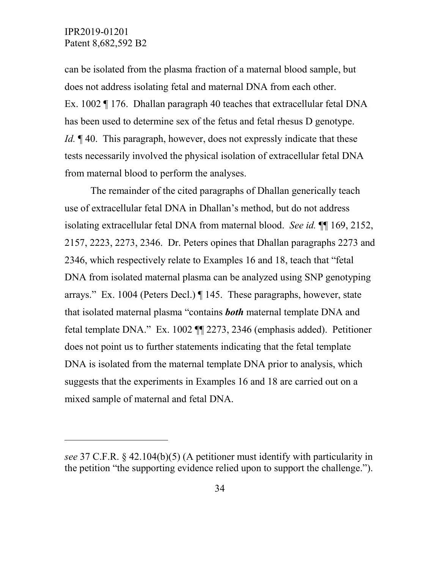$\overline{a}$ 

can be isolated from the plasma fraction of a maternal blood sample, but does not address isolating fetal and maternal DNA from each other. Ex. 1002 ¶ 176. Dhallan paragraph 40 teaches that extracellular fetal DNA has been used to determine sex of the fetus and fetal rhesus D genotype. *Id.* **[40.** This paragraph, however, does not expressly indicate that these tests necessarily involved the physical isolation of extracellular fetal DNA from maternal blood to perform the analyses.

The remainder of the cited paragraphs of Dhallan generically teach use of extracellular fetal DNA in Dhallan's method, but do not address isolating extracellular fetal DNA from maternal blood. *See id.* ¶¶ 169, 2152, 2157, 2223, 2273, 2346. Dr. Peters opines that Dhallan paragraphs 2273 and 2346, which respectively relate to Examples 16 and 18, teach that "fetal DNA from isolated maternal plasma can be analyzed using SNP genotyping arrays." Ex. 1004 (Peters Decl.) ¶ 145. These paragraphs, however, state that isolated maternal plasma "contains *both* maternal template DNA and fetal template DNA." Ex. 1002 ¶¶ 2273, 2346 (emphasis added). Petitioner does not point us to further statements indicating that the fetal template DNA is isolated from the maternal template DNA prior to analysis, which suggests that the experiments in Examples 16 and 18 are carried out on a mixed sample of maternal and fetal DNA.

*see* 37 C.F.R. § 42.104(b)(5) (A petitioner must identify with particularity in the petition "the supporting evidence relied upon to support the challenge.").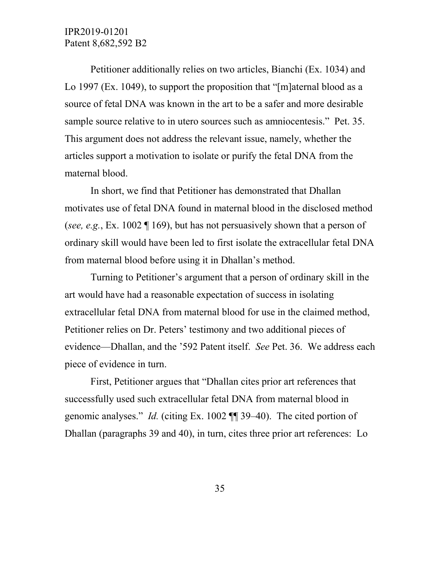Petitioner additionally relies on two articles, Bianchi (Ex. 1034) and Lo 1997 (Ex. 1049), to support the proposition that "[m]aternal blood as a source of fetal DNA was known in the art to be a safer and more desirable sample source relative to in utero sources such as amniocentesis." Pet. 35. This argument does not address the relevant issue, namely, whether the articles support a motivation to isolate or purify the fetal DNA from the maternal blood.

In short, we find that Petitioner has demonstrated that Dhallan motivates use of fetal DNA found in maternal blood in the disclosed method (*see, e.g.*, Ex. 1002 ¶ 169), but has not persuasively shown that a person of ordinary skill would have been led to first isolate the extracellular fetal DNA from maternal blood before using it in Dhallan's method.

Turning to Petitioner's argument that a person of ordinary skill in the art would have had a reasonable expectation of success in isolating extracellular fetal DNA from maternal blood for use in the claimed method, Petitioner relies on Dr. Peters' testimony and two additional pieces of evidence—Dhallan, and the '592 Patent itself. *See* Pet. 36. We address each piece of evidence in turn.

First, Petitioner argues that "Dhallan cites prior art references that successfully used such extracellular fetal DNA from maternal blood in genomic analyses." *Id.* (citing Ex. 1002 ¶¶ 39–40). The cited portion of Dhallan (paragraphs 39 and 40), in turn, cites three prior art references: Lo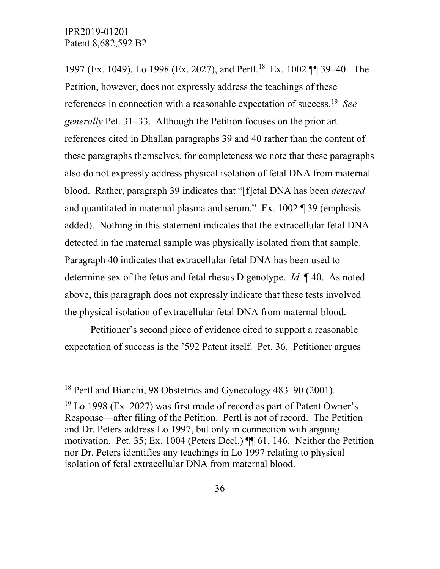$\overline{a}$ 

1997 (Ex. 1049), Lo 1998 (Ex. 2027), and Pertl.[18](#page-35-0) Ex. 1002 ¶¶ 39–40. The Petition, however, does not expressly address the teachings of these references in connection with a reasonable expectation of success.[19](#page-35-1) *See generally* Pet. 31–33. Although the Petition focuses on the prior art references cited in Dhallan paragraphs 39 and 40 rather than the content of these paragraphs themselves, for completeness we note that these paragraphs also do not expressly address physical isolation of fetal DNA from maternal blood. Rather, paragraph 39 indicates that "[f]etal DNA has been *detected* and quantitated in maternal plasma and serum." Ex. 1002 ¶ 39 (emphasis added). Nothing in this statement indicates that the extracellular fetal DNA detected in the maternal sample was physically isolated from that sample. Paragraph 40 indicates that extracellular fetal DNA has been used to determine sex of the fetus and fetal rhesus D genotype. *Id.* ¶ 40. As noted above, this paragraph does not expressly indicate that these tests involved the physical isolation of extracellular fetal DNA from maternal blood.

Petitioner's second piece of evidence cited to support a reasonable expectation of success is the '592 Patent itself. Pet. 36. Petitioner argues

<span id="page-35-0"></span><sup>18</sup> Pertl and Bianchi, 98 Obstetrics and Gynecology 483–90 (2001).

<span id="page-35-1"></span> $19$  Lo 1998 (Ex. 2027) was first made of record as part of Patent Owner's Response—after filing of the Petition. Pertl is not of record. The Petition and Dr. Peters address Lo 1997, but only in connection with arguing motivation. Pet. 35; Ex. 1004 (Peters Decl.) ¶¶ 61, 146. Neither the Petition nor Dr. Peters identifies any teachings in Lo 1997 relating to physical isolation of fetal extracellular DNA from maternal blood.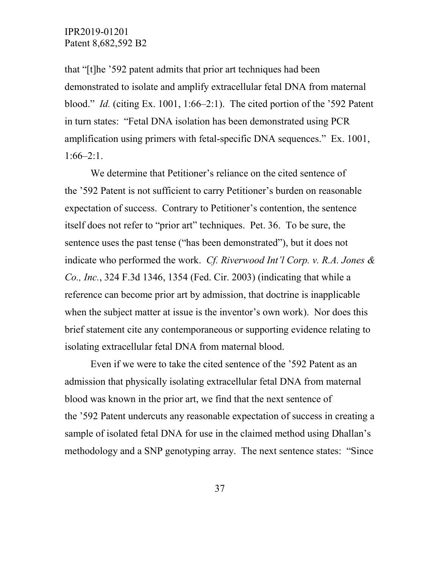that "[t]he '592 patent admits that prior art techniques had been demonstrated to isolate and amplify extracellular fetal DNA from maternal blood." *Id.* (citing Ex. 1001, 1:66–2:1). The cited portion of the '592 Patent in turn states: "Fetal DNA isolation has been demonstrated using PCR amplification using primers with fetal-specific DNA sequences." Ex. 1001, 1:66–2:1.

We determine that Petitioner's reliance on the cited sentence of the '592 Patent is not sufficient to carry Petitioner's burden on reasonable expectation of success. Contrary to Petitioner's contention, the sentence itself does not refer to "prior art" techniques. Pet. 36. To be sure, the sentence uses the past tense ("has been demonstrated"), but it does not indicate who performed the work. *Cf. Riverwood Int'l Corp. v. R.A. Jones & Co., Inc.*, 324 F.3d 1346, 1354 (Fed. Cir. 2003) (indicating that while a reference can become prior art by admission, that doctrine is inapplicable when the subject matter at issue is the inventor's own work). Nor does this brief statement cite any contemporaneous or supporting evidence relating to isolating extracellular fetal DNA from maternal blood.

Even if we were to take the cited sentence of the '592 Patent as an admission that physically isolating extracellular fetal DNA from maternal blood was known in the prior art, we find that the next sentence of the '592 Patent undercuts any reasonable expectation of success in creating a sample of isolated fetal DNA for use in the claimed method using Dhallan's methodology and a SNP genotyping array. The next sentence states: "Since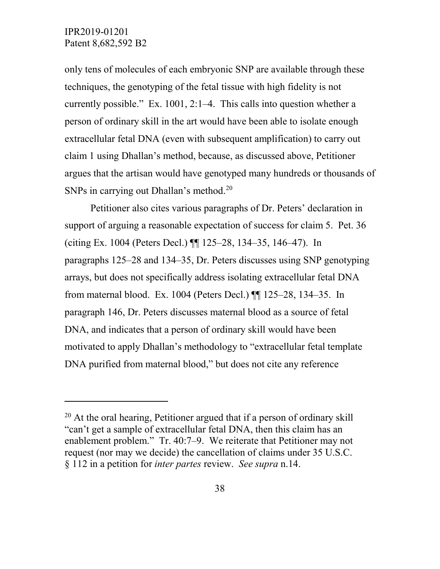$\overline{a}$ 

only tens of molecules of each embryonic SNP are available through these techniques, the genotyping of the fetal tissue with high fidelity is not currently possible." Ex. 1001, 2:1–4. This calls into question whether a person of ordinary skill in the art would have been able to isolate enough extracellular fetal DNA (even with subsequent amplification) to carry out claim 1 using Dhallan's method, because, as discussed above, Petitioner argues that the artisan would have genotyped many hundreds or thousands of SNPs in carrying out Dhallan's method. [20](#page-37-0) 

Petitioner also cites various paragraphs of Dr. Peters' declaration in support of arguing a reasonable expectation of success for claim 5. Pet. 36 (citing Ex. 1004 (Peters Decl.) ¶¶ 125–28, 134–35, 146–47). In paragraphs 125–28 and 134–35, Dr. Peters discusses using SNP genotyping arrays, but does not specifically address isolating extracellular fetal DNA from maternal blood. Ex. 1004 (Peters Decl.) ¶¶ 125–28, 134–35. In paragraph 146, Dr. Peters discusses maternal blood as a source of fetal DNA, and indicates that a person of ordinary skill would have been motivated to apply Dhallan's methodology to "extracellular fetal template DNA purified from maternal blood," but does not cite any reference

<span id="page-37-0"></span> $20$  At the oral hearing, Petitioner argued that if a person of ordinary skill "can't get a sample of extracellular fetal DNA, then this claim has an enablement problem." Tr. 40:7–9. We reiterate that Petitioner may not request (nor may we decide) the cancellation of claims under 35 U.S.C. § 112 in a petition for *inter partes* review. *See supra* n.14.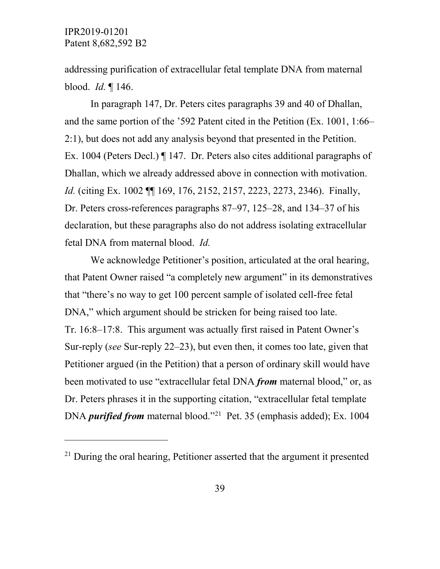$\overline{a}$ 

addressing purification of extracellular fetal template DNA from maternal blood. *Id.* ¶ 146.

In paragraph 147, Dr. Peters cites paragraphs 39 and 40 of Dhallan, and the same portion of the '592 Patent cited in the Petition (Ex. 1001, 1:66– 2:1), but does not add any analysis beyond that presented in the Petition. Ex. 1004 (Peters Decl.) ¶ 147. Dr. Peters also cites additional paragraphs of Dhallan, which we already addressed above in connection with motivation. *Id.* (citing Ex. 1002 ¶¶ 169, 176, 2152, 2157, 2223, 2273, 2346). Finally, Dr. Peters cross-references paragraphs 87–97, 125–28, and 134–37 of his declaration, but these paragraphs also do not address isolating extracellular fetal DNA from maternal blood. *Id.* 

We acknowledge Petitioner's position, articulated at the oral hearing, that Patent Owner raised "a completely new argument" in its demonstratives that "there's no way to get 100 percent sample of isolated cell-free fetal DNA," which argument should be stricken for being raised too late. Tr. 16:8–17:8. This argument was actually first raised in Patent Owner's Sur-reply (*see* Sur-reply 22–23), but even then, it comes too late, given that Petitioner argued (in the Petition) that a person of ordinary skill would have been motivated to use "extracellular fetal DNA *from* maternal blood," or, as Dr. Peters phrases it in the supporting citation, "extracellular fetal template DNA *purified from* maternal blood."<sup>[21](#page-38-0)</sup> Pet. 35 (emphasis added); Ex. 1004

<span id="page-38-0"></span> $21$  During the oral hearing, Petitioner asserted that the argument it presented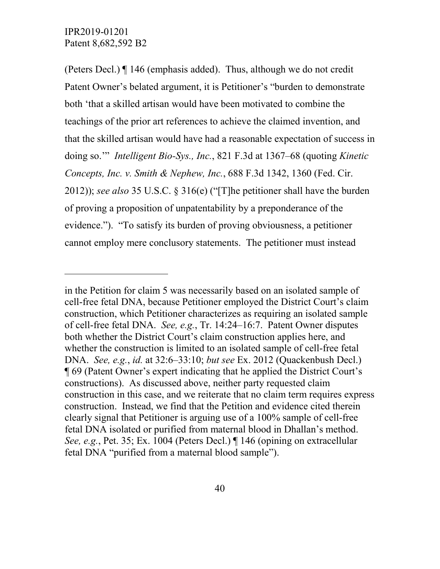$\overline{a}$ 

(Peters Decl.) ¶ 146 (emphasis added). Thus, although we do not credit Patent Owner's belated argument, it is Petitioner's "burden to demonstrate both 'that a skilled artisan would have been motivated to combine the teachings of the prior art references to achieve the claimed invention, and that the skilled artisan would have had a reasonable expectation of success in doing so.'" *Intelligent Bio-Sys., Inc.*, 821 F.3d at 1367–68 (quoting *Kinetic Concepts, Inc. v. Smith & Nephew, Inc.*, 688 F.3d 1342, 1360 (Fed. Cir. 2012)); *see also* 35 U.S.C. § 316(e) ("[T]he petitioner shall have the burden of proving a proposition of unpatentability by a preponderance of the evidence."). "To satisfy its burden of proving obviousness, a petitioner cannot employ mere conclusory statements. The petitioner must instead

in the Petition for claim 5 was necessarily based on an isolated sample of cell-free fetal DNA, because Petitioner employed the District Court's claim construction, which Petitioner characterizes as requiring an isolated sample of cell-free fetal DNA. *See, e.g.*, Tr. 14:24–16:7. Patent Owner disputes both whether the District Court's claim construction applies here, and whether the construction is limited to an isolated sample of cell-free fetal DNA. *See, e.g.*, *id.* at 32:6–33:10; *but see* Ex. 2012 (Quackenbush Decl.) ¶ 69 (Patent Owner's expert indicating that he applied the District Court's constructions). As discussed above, neither party requested claim construction in this case, and we reiterate that no claim term requires express construction. Instead, we find that the Petition and evidence cited therein clearly signal that Petitioner is arguing use of a 100% sample of cell-free fetal DNA isolated or purified from maternal blood in Dhallan's method. *See, e.g.*, Pet. 35; Ex. 1004 (Peters Decl.) ¶ 146 (opining on extracellular fetal DNA "purified from a maternal blood sample").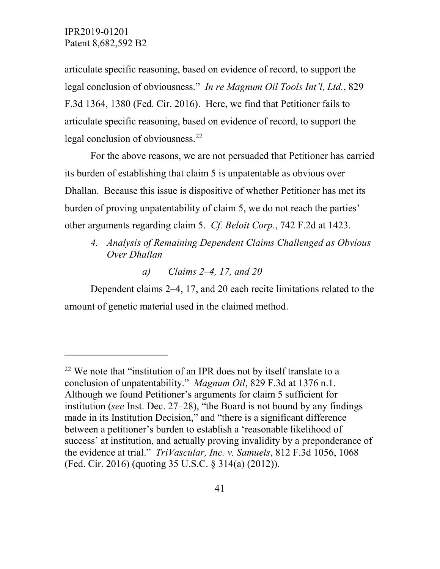$\overline{a}$ 

articulate specific reasoning, based on evidence of record, to support the legal conclusion of obviousness." *In re Magnum Oil Tools Int'l, Ltd.*, 829 F.3d 1364, 1380 (Fed. Cir. 2016). Here, we find that Petitioner fails to articulate specific reasoning, based on evidence of record, to support the legal conclusion of obviousness.<sup>22</sup>

For the above reasons, we are not persuaded that Petitioner has carried its burden of establishing that claim 5 is unpatentable as obvious over Dhallan. Because this issue is dispositive of whether Petitioner has met its burden of proving unpatentability of claim 5, we do not reach the parties' other arguments regarding claim 5. *Cf. Beloit Corp.*, 742 F.2d at 1423.

- *4. Analysis of Remaining Dependent Claims Challenged as Obvious Over Dhallan*
	- *a) Claims 2–4, 17, and 20*

Dependent claims 2–4, 17, and 20 each recite limitations related to the amount of genetic material used in the claimed method.

<span id="page-40-0"></span> $22$  We note that "institution of an IPR does not by itself translate to a conclusion of unpatentability." *Magnum Oil*, 829 F.3d at 1376 n.1. Although we found Petitioner's arguments for claim 5 sufficient for institution (*see* Inst. Dec. 27–28), "the Board is not bound by any findings made in its Institution Decision," and "there is a significant difference between a petitioner's burden to establish a 'reasonable likelihood of success' at institution, and actually proving invalidity by a preponderance of the evidence at trial." *TriVascular, Inc. v. Samuels*, 812 F.3d 1056, 1068 (Fed. Cir. 2016) (quoting 35 U.S.C. § 314(a) (2012)).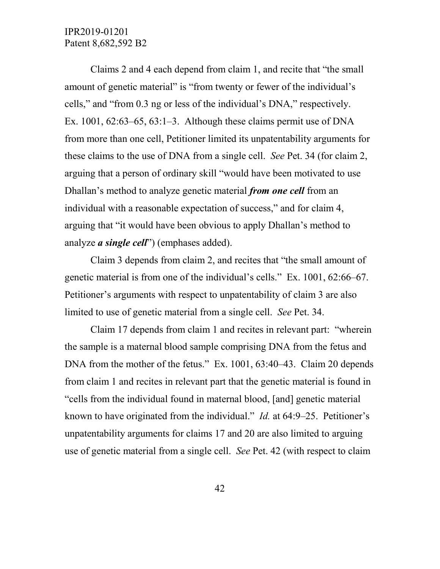Claims 2 and 4 each depend from claim 1, and recite that "the small amount of genetic material" is "from twenty or fewer of the individual's cells," and "from 0.3 ng or less of the individual's DNA," respectively. Ex.  $1001, 62:63-65, 63:1-3$ . Although these claims permit use of DNA from more than one cell, Petitioner limited its unpatentability arguments for these claims to the use of DNA from a single cell. *See* Pet. 34 (for claim 2, arguing that a person of ordinary skill "would have been motivated to use Dhallan's method to analyze genetic material *from one cell* from an individual with a reasonable expectation of success," and for claim 4, arguing that "it would have been obvious to apply Dhallan's method to analyze *a single cell*") (emphases added).

Claim 3 depends from claim 2, and recites that "the small amount of genetic material is from one of the individual's cells." Ex. 1001, 62:66–67. Petitioner's arguments with respect to unpatentability of claim 3 are also limited to use of genetic material from a single cell. *See* Pet. 34.

Claim 17 depends from claim 1 and recites in relevant part: "wherein the sample is a maternal blood sample comprising DNA from the fetus and DNA from the mother of the fetus." Ex. 1001, 63:40–43. Claim 20 depends from claim 1 and recites in relevant part that the genetic material is found in "cells from the individual found in maternal blood, [and] genetic material known to have originated from the individual." *Id.* at 64:9–25. Petitioner's unpatentability arguments for claims 17 and 20 are also limited to arguing use of genetic material from a single cell. *See* Pet. 42 (with respect to claim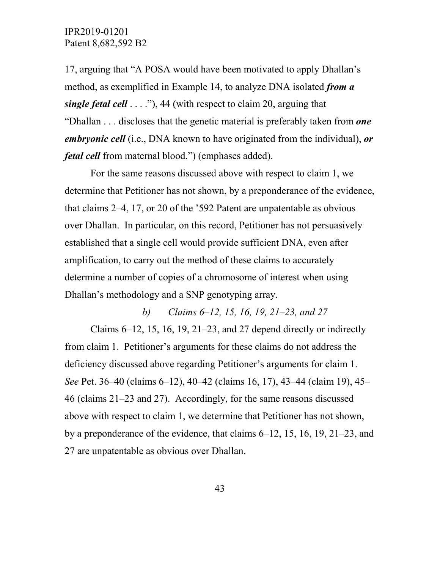17, arguing that "A POSA would have been motivated to apply Dhallan's method, as exemplified in Example 14, to analyze DNA isolated *from a single fetal cell* . . . ."), 44 (with respect to claim 20, arguing that "Dhallan . . . discloses that the genetic material is preferably taken from *one embryonic cell* (i.e., DNA known to have originated from the individual), *or fetal cell* from maternal blood.") (emphases added).

For the same reasons discussed above with respect to claim 1, we determine that Petitioner has not shown, by a preponderance of the evidence, that claims 2–4, 17, or 20 of the '592 Patent are unpatentable as obvious over Dhallan. In particular, on this record, Petitioner has not persuasively established that a single cell would provide sufficient DNA, even after amplification, to carry out the method of these claims to accurately determine a number of copies of a chromosome of interest when using Dhallan's methodology and a SNP genotyping array.

*b) Claims 6–12, 15, 16, 19, 21–23, and 27* Claims  $6-12$ , 15, 16, 19, 21–23, and 27 depend directly or indirectly from claim 1. Petitioner's arguments for these claims do not address the deficiency discussed above regarding Petitioner's arguments for claim 1. *See* Pet. 36–40 (claims 6–12), 40–42 (claims 16, 17), 43–44 (claim 19), 45– 46 (claims 21–23 and 27). Accordingly, for the same reasons discussed above with respect to claim 1, we determine that Petitioner has not shown, by a preponderance of the evidence, that claims 6–12, 15, 16, 19, 21–23, and 27 are unpatentable as obvious over Dhallan.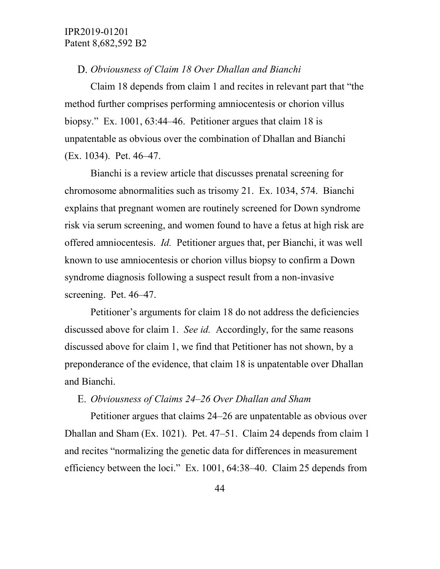#### *Obviousness of Claim 18 Over Dhallan and Bianchi*

Claim 18 depends from claim 1 and recites in relevant part that "the method further comprises performing amniocentesis or chorion villus biopsy." Ex. 1001, 63:44–46. Petitioner argues that claim 18 is unpatentable as obvious over the combination of Dhallan and Bianchi (Ex. 1034). Pet. 46–47.

Bianchi is a review article that discusses prenatal screening for chromosome abnormalities such as trisomy 21. Ex. 1034, 574. Bianchi explains that pregnant women are routinely screened for Down syndrome risk via serum screening, and women found to have a fetus at high risk are offered amniocentesis. *Id.* Petitioner argues that, per Bianchi, it was well known to use amniocentesis or chorion villus biopsy to confirm a Down syndrome diagnosis following a suspect result from a non-invasive screening. Pet. 46–47.

Petitioner's arguments for claim 18 do not address the deficiencies discussed above for claim 1. *See id.* Accordingly, for the same reasons discussed above for claim 1, we find that Petitioner has not shown, by a preponderance of the evidence, that claim 18 is unpatentable over Dhallan and Bianchi.

## *Obviousness of Claims 24–26 Over Dhallan and Sham*

Petitioner argues that claims 24–26 are unpatentable as obvious over Dhallan and Sham (Ex. 1021). Pet. 47–51. Claim 24 depends from claim 1 and recites "normalizing the genetic data for differences in measurement efficiency between the loci." Ex. 1001, 64:38–40. Claim 25 depends from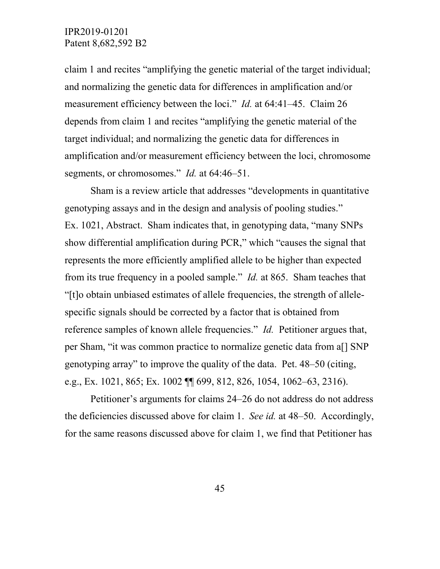claim 1 and recites "amplifying the genetic material of the target individual; and normalizing the genetic data for differences in amplification and/or measurement efficiency between the loci." *Id.* at 64:41–45. Claim 26 depends from claim 1 and recites "amplifying the genetic material of the target individual; and normalizing the genetic data for differences in amplification and/or measurement efficiency between the loci, chromosome segments, or chromosomes." *Id.* at 64:46–51.

Sham is a review article that addresses "developments in quantitative genotyping assays and in the design and analysis of pooling studies." Ex. 1021, Abstract. Sham indicates that, in genotyping data, "many SNPs show differential amplification during PCR," which "causes the signal that represents the more efficiently amplified allele to be higher than expected from its true frequency in a pooled sample." *Id.* at 865. Sham teaches that "[t]o obtain unbiased estimates of allele frequencies, the strength of allelespecific signals should be corrected by a factor that is obtained from reference samples of known allele frequencies." *Id.* Petitioner argues that, per Sham, "it was common practice to normalize genetic data from a[] SNP genotyping array" to improve the quality of the data. Pet. 48–50 (citing, e.g., Ex. 1021, 865; Ex. 1002 ¶¶ 699, 812, 826, 1054, 1062–63, 2316).

Petitioner's arguments for claims 24–26 do not address do not address the deficiencies discussed above for claim 1. *See id.* at 48–50. Accordingly, for the same reasons discussed above for claim 1, we find that Petitioner has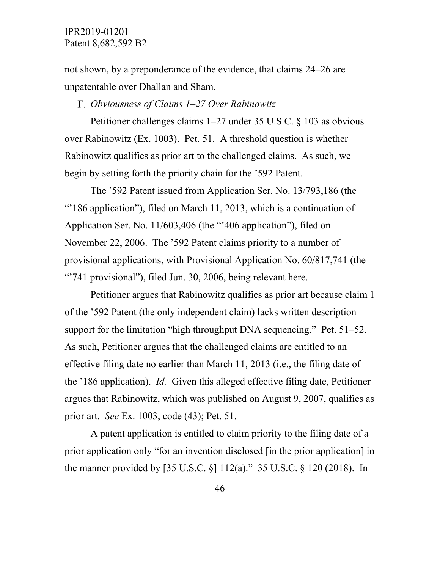not shown, by a preponderance of the evidence, that claims 24–26 are unpatentable over Dhallan and Sham.

*Obviousness of Claims 1–27 Over Rabinowitz*

Petitioner challenges claims 1–27 under 35 U.S.C. § 103 as obvious over Rabinowitz (Ex. 1003). Pet. 51. A threshold question is whether Rabinowitz qualifies as prior art to the challenged claims. As such, we begin by setting forth the priority chain for the '592 Patent.

The '592 Patent issued from Application Ser. No. 13/793,186 (the "'186 application"), filed on March 11, 2013, which is a continuation of Application Ser. No. 11/603,406 (the "'406 application"), filed on November 22, 2006. The '592 Patent claims priority to a number of provisional applications, with Provisional Application No. 60/817,741 (the "741 provisional"), filed Jun. 30, 2006, being relevant here.

Petitioner argues that Rabinowitz qualifies as prior art because claim 1 of the '592 Patent (the only independent claim) lacks written description support for the limitation "high throughput DNA sequencing." Pet. 51–52. As such, Petitioner argues that the challenged claims are entitled to an effective filing date no earlier than March 11, 2013 (i.e., the filing date of the '186 application). *Id.* Given this alleged effective filing date, Petitioner argues that Rabinowitz, which was published on August 9, 2007, qualifies as prior art. *See* Ex. 1003, code (43); Pet. 51.

A patent application is entitled to claim priority to the filing date of a prior application only "for an invention disclosed [in the prior application] in the manner provided by [35 U.S.C. §] 112(a)." 35 U.S.C. § 120 (2018). In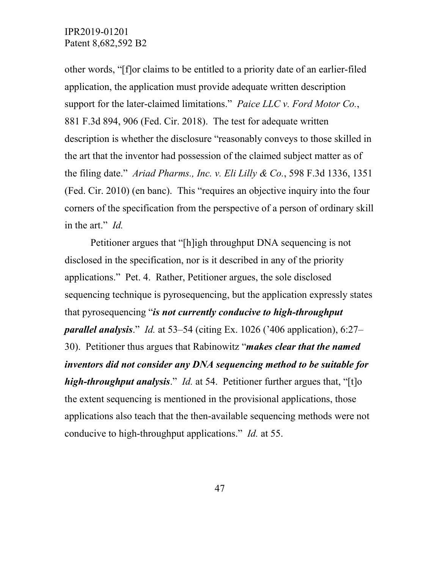other words, "[f]or claims to be entitled to a priority date of an earlier-filed application, the application must provide adequate written description support for the later-claimed limitations." *Paice LLC v. Ford Motor Co.*, 881 F.3d 894, 906 (Fed. Cir. 2018). The test for adequate written description is whether the disclosure "reasonably conveys to those skilled in the art that the inventor had possession of the claimed subject matter as of the filing date." *Ariad Pharms., Inc. v. Eli Lilly & Co.*, 598 F.3d 1336, 1351 (Fed. Cir. 2010) (en banc). This "requires an objective inquiry into the four corners of the specification from the perspective of a person of ordinary skill in the art." *Id.*

Petitioner argues that "[h]igh throughput DNA sequencing is not disclosed in the specification, nor is it described in any of the priority applications." Pet. 4. Rather, Petitioner argues, the sole disclosed sequencing technique is pyrosequencing, but the application expressly states that pyrosequencing "*is not currently conducive to high-throughput parallel analysis*." *Id.* at 53–54 (citing Ex. 1026 ('406 application), 6:27– 30). Petitioner thus argues that Rabinowitz "*makes clear that the named inventors did not consider any DNA sequencing method to be suitable for high-throughput analysis*." *Id.* at 54. Petitioner further argues that, "[t]o the extent sequencing is mentioned in the provisional applications, those applications also teach that the then-available sequencing methods were not conducive to high-throughput applications." *Id.* at 55.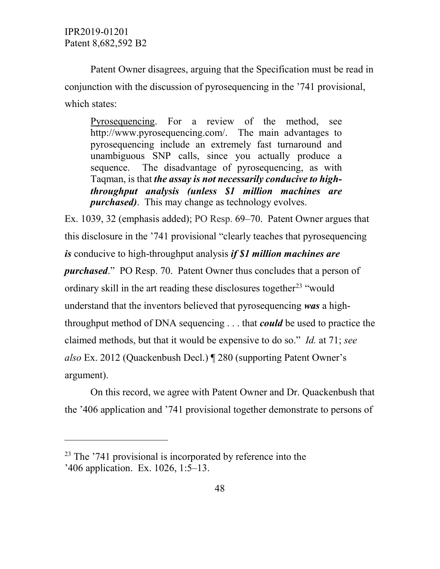$\overline{a}$ 

Patent Owner disagrees, arguing that the Specification must be read in conjunction with the discussion of pyrosequencing in the '741 provisional, which states:

Pyrosequencing. For a review of the method, see http://www.pyrosequencing.com/. The main advantages to pyrosequencing include an extremely fast turnaround and unambiguous SNP calls, since you actually produce a sequence. The disadvantage of pyrosequencing, as with Taqman, is that *the assay is not necessarily conducive to highthroughput analysis (unless \$1 million machines are purchased)*. This may change as technology evolves.

Ex. 1039, 32 (emphasis added); PO Resp. 69–70. Patent Owner argues that this disclosure in the '741 provisional "clearly teaches that pyrosequencing *is* conducive to high-throughput analysis *if \$1 million machines are purchased*." PO Resp. 70. Patent Owner thus concludes that a person of ordinary skill in the art reading these disclosures together<sup>[23](#page-47-0)</sup> "would understand that the inventors believed that pyrosequencing *was* a highthroughput method of DNA sequencing . . . that *could* be used to practice the claimed methods, but that it would be expensive to do so." *Id.* at 71; *see also* Ex. 2012 (Quackenbush Decl.) ¶ 280 (supporting Patent Owner's argument).

On this record, we agree with Patent Owner and Dr. Quackenbush that the '406 application and '741 provisional together demonstrate to persons of

<span id="page-47-0"></span> $23$  The  $241$  provisional is incorporated by reference into the '406 application. Ex. 1026, 1:5–13.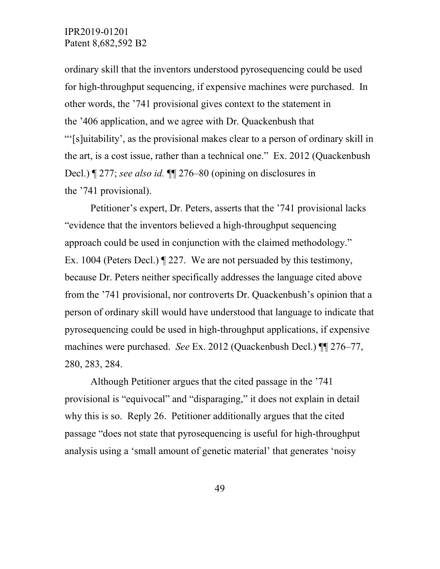ordinary skill that the inventors understood pyrosequencing could be used for high-throughput sequencing, if expensive machines were purchased. In other words, the '741 provisional gives context to the statement in the '406 application, and we agree with Dr. Quackenbush that "'[s]uitability', as the provisional makes clear to a person of ordinary skill in the art, is a cost issue, rather than a technical one." Ex. 2012 (Quackenbush Decl.) ¶ 277; *see also id.* ¶¶ 276–80 (opining on disclosures in the '741 provisional).

Petitioner's expert, Dr. Peters, asserts that the '741 provisional lacks "evidence that the inventors believed a high-throughput sequencing approach could be used in conjunction with the claimed methodology." Ex. 1004 (Peters Decl.) ¶ 227. We are not persuaded by this testimony, because Dr. Peters neither specifically addresses the language cited above from the '741 provisional, nor controverts Dr. Quackenbush's opinion that a person of ordinary skill would have understood that language to indicate that pyrosequencing could be used in high-throughput applications, if expensive machines were purchased. *See* Ex. 2012 (Quackenbush Decl.) ¶¶ 276–77, 280, 283, 284.

Although Petitioner argues that the cited passage in the '741 provisional is "equivocal" and "disparaging," it does not explain in detail why this is so. Reply 26. Petitioner additionally argues that the cited passage "does not state that pyrosequencing is useful for high-throughput analysis using a 'small amount of genetic material' that generates 'noisy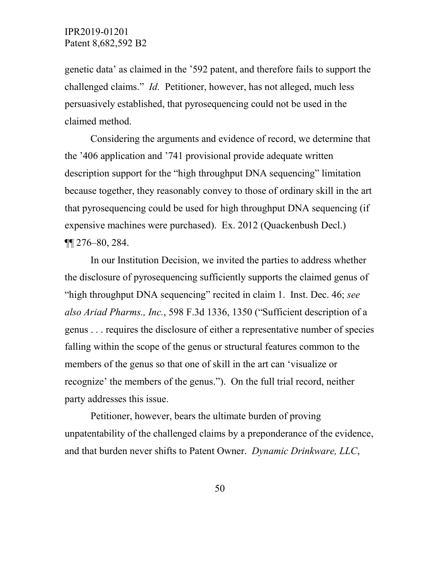genetic data' as claimed in the '592 patent, and therefore fails to support the challenged claims." *Id.* Petitioner, however, has not alleged, much less persuasively established, that pyrosequencing could not be used in the claimed method.

Considering the arguments and evidence of record, we determine that the '406 application and '741 provisional provide adequate written description support for the "high throughput DNA sequencing" limitation because together, they reasonably convey to those of ordinary skill in the art that pyrosequencing could be used for high throughput DNA sequencing (if expensive machines were purchased). Ex. 2012 (Quackenbush Decl.) ¶¶ 276–80, 284.

In our Institution Decision, we invited the parties to address whether the disclosure of pyrosequencing sufficiently supports the claimed genus of "high throughput DNA sequencing" recited in claim 1. Inst. Dec. 46; *see also Ariad Pharms., Inc.*, 598 F.3d 1336, 1350 ("Sufficient description of a genus . . . requires the disclosure of either a representative number of species falling within the scope of the genus or structural features common to the members of the genus so that one of skill in the art can 'visualize or recognize' the members of the genus."). On the full trial record, neither party addresses this issue.

Petitioner, however, bears the ultimate burden of proving unpatentability of the challenged claims by a preponderance of the evidence, and that burden never shifts to Patent Owner. *Dynamic Drinkware, LLC*,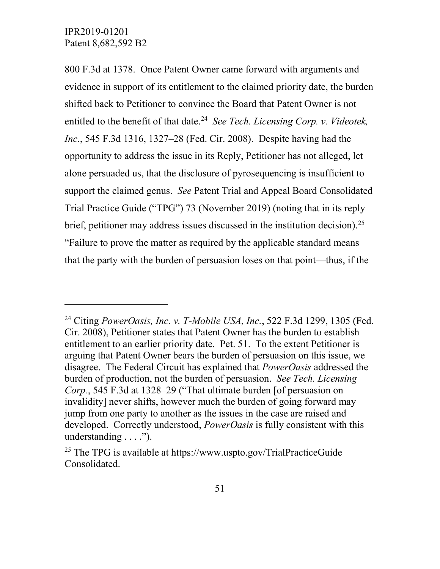$\overline{a}$ 

800 F.3d at 1378. Once Patent Owner came forward with arguments and evidence in support of its entitlement to the claimed priority date, the burden shifted back to Petitioner to convince the Board that Patent Owner is not entitled to the benefit of that date.<sup>24</sup> *See Tech. Licensing Corp. v. Videotek, Inc.*, 545 F.3d 1316, 1327–28 (Fed. Cir. 2008). Despite having had the opportunity to address the issue in its Reply, Petitioner has not alleged, let alone persuaded us, that the disclosure of pyrosequencing is insufficient to support the claimed genus. *See* Patent Trial and Appeal Board Consolidated Trial Practice Guide ("TPG") 73 (November 2019) (noting that in its reply brief, petitioner may address issues discussed in the institution decision).<sup>25</sup> "Failure to prove the matter as required by the applicable standard means that the party with the burden of persuasion loses on that point—thus, if the

<span id="page-50-0"></span><sup>24</sup> Citing *PowerOasis, Inc. v. T-Mobile USA, Inc.*, 522 F.3d 1299, 1305 (Fed. Cir. 2008), Petitioner states that Patent Owner has the burden to establish entitlement to an earlier priority date. Pet. 51. To the extent Petitioner is arguing that Patent Owner bears the burden of persuasion on this issue, we disagree. The Federal Circuit has explained that *PowerOasis* addressed the burden of production, not the burden of persuasion. *See Tech. Licensing Corp.*, 545 F.3d at 1328–29 ("That ultimate burden [of persuasion on invalidity] never shifts, however much the burden of going forward may jump from one party to another as the issues in the case are raised and developed. Correctly understood, *PowerOasis* is fully consistent with this understanding  $\dots$ .").

<span id="page-50-1"></span><sup>&</sup>lt;sup>25</sup> The TPG is available at https://www.uspto.gov/TrialPracticeGuide Consolidated.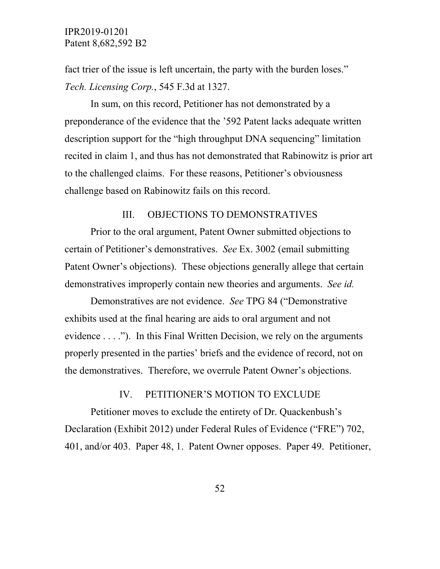fact trier of the issue is left uncertain, the party with the burden loses." *Tech. Licensing Corp.*, 545 F.3d at 1327.

In sum, on this record, Petitioner has not demonstrated by a preponderance of the evidence that the '592 Patent lacks adequate written description support for the "high throughput DNA sequencing" limitation recited in claim 1, and thus has not demonstrated that Rabinowitz is prior art to the challenged claims. For these reasons, Petitioner's obviousness challenge based on Rabinowitz fails on this record.

### III. OBJECTIONS TO DEMONSTRATIVES

Prior to the oral argument, Patent Owner submitted objections to certain of Petitioner's demonstratives. *See* Ex. 3002 (email submitting Patent Owner's objections). These objections generally allege that certain demonstratives improperly contain new theories and arguments. *See id.* 

Demonstratives are not evidence. *See* TPG 84 ("Demonstrative exhibits used at the final hearing are aids to oral argument and not evidence . . . ."). In this Final Written Decision, we rely on the arguments properly presented in the parties' briefs and the evidence of record, not on the demonstratives. Therefore, we overrule Patent Owner's objections.

#### IV. PETITIONER'S MOTION TO EXCLUDE

Petitioner moves to exclude the entirety of Dr. Quackenbush's Declaration (Exhibit 2012) under Federal Rules of Evidence ("FRE") 702, 401, and/or 403. Paper 48, 1. Patent Owner opposes. Paper 49. Petitioner,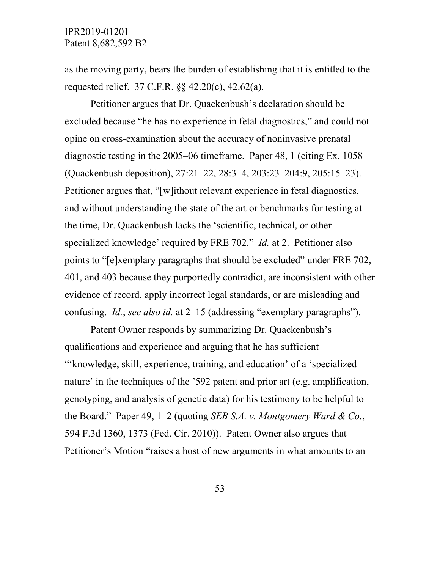as the moving party, bears the burden of establishing that it is entitled to the requested relief. 37 C.F.R. §§ 42.20(c), 42.62(a).

Petitioner argues that Dr. Quackenbush's declaration should be excluded because "he has no experience in fetal diagnostics," and could not opine on cross-examination about the accuracy of noninvasive prenatal diagnostic testing in the 2005–06 timeframe. Paper 48, 1 (citing Ex. 1058 (Quackenbush deposition), 27:21–22, 28:3–4, 203:23–204:9, 205:15–23). Petitioner argues that, "[w]ithout relevant experience in fetal diagnostics, and without understanding the state of the art or benchmarks for testing at the time, Dr. Quackenbush lacks the 'scientific, technical, or other specialized knowledge' required by FRE 702." *Id.* at 2. Petitioner also points to "[e]xemplary paragraphs that should be excluded" under FRE 702, 401, and 403 because they purportedly contradict, are inconsistent with other evidence of record, apply incorrect legal standards, or are misleading and confusing. *Id.*; *see also id.* at 2–15 (addressing "exemplary paragraphs").

Patent Owner responds by summarizing Dr. Quackenbush's qualifications and experience and arguing that he has sufficient "'knowledge, skill, experience, training, and education' of a 'specialized nature' in the techniques of the '592 patent and prior art (e.g. amplification, genotyping, and analysis of genetic data) for his testimony to be helpful to the Board." Paper 49, 1–2 (quoting *SEB S.A. v. Montgomery Ward & Co.*, 594 F.3d 1360, 1373 (Fed. Cir. 2010)). Patent Owner also argues that Petitioner's Motion "raises a host of new arguments in what amounts to an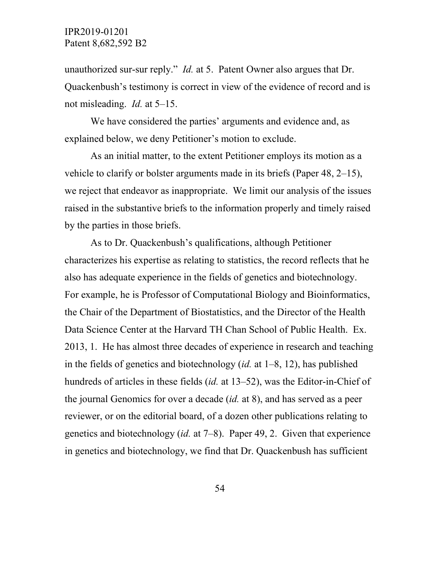unauthorized sur-sur reply." *Id.* at 5. Patent Owner also argues that Dr. Quackenbush's testimony is correct in view of the evidence of record and is not misleading. *Id.* at 5–15.

We have considered the parties' arguments and evidence and, as explained below, we deny Petitioner's motion to exclude.

As an initial matter, to the extent Petitioner employs its motion as a vehicle to clarify or bolster arguments made in its briefs (Paper 48, 2–15), we reject that endeavor as inappropriate. We limit our analysis of the issues raised in the substantive briefs to the information properly and timely raised by the parties in those briefs.

As to Dr. Quackenbush's qualifications, although Petitioner characterizes his expertise as relating to statistics, the record reflects that he also has adequate experience in the fields of genetics and biotechnology. For example, he is Professor of Computational Biology and Bioinformatics, the Chair of the Department of Biostatistics, and the Director of the Health Data Science Center at the Harvard TH Chan School of Public Health. Ex. 2013, 1. He has almost three decades of experience in research and teaching in the fields of genetics and biotechnology (*id.* at 1–8, 12), has published hundreds of articles in these fields (*id.* at 13–52), was the Editor-in-Chief of the journal Genomics for over a decade (*id.* at 8), and has served as a peer reviewer, or on the editorial board, of a dozen other publications relating to genetics and biotechnology (*id.* at 7–8). Paper 49, 2. Given that experience in genetics and biotechnology, we find that Dr. Quackenbush has sufficient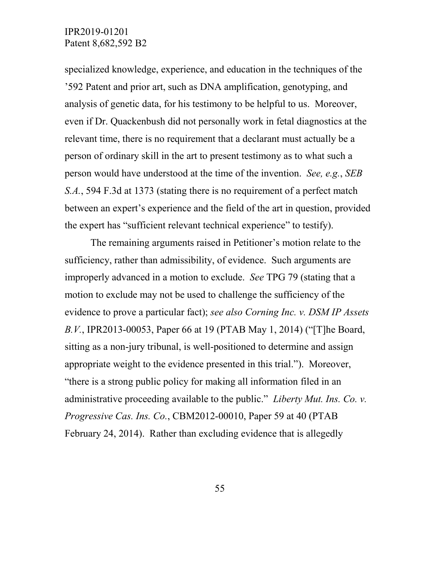specialized knowledge, experience, and education in the techniques of the '592 Patent and prior art, such as DNA amplification, genotyping, and analysis of genetic data, for his testimony to be helpful to us. Moreover, even if Dr. Quackenbush did not personally work in fetal diagnostics at the relevant time, there is no requirement that a declarant must actually be a person of ordinary skill in the art to present testimony as to what such a person would have understood at the time of the invention. *See, e.g.*, *SEB S.A.*, 594 F.3d at 1373 (stating there is no requirement of a perfect match between an expert's experience and the field of the art in question, provided the expert has "sufficient relevant technical experience" to testify).

The remaining arguments raised in Petitioner's motion relate to the sufficiency, rather than admissibility, of evidence. Such arguments are improperly advanced in a motion to exclude. *See* TPG 79 (stating that a motion to exclude may not be used to challenge the sufficiency of the evidence to prove a particular fact); *see also Corning Inc. v. DSM IP Assets B.V.*, IPR2013-00053, Paper 66 at 19 (PTAB May 1, 2014) ("[T]he Board, sitting as a non-jury tribunal, is well-positioned to determine and assign appropriate weight to the evidence presented in this trial."). Moreover, "there is a strong public policy for making all information filed in an administrative proceeding available to the public." *Liberty Mut. Ins. Co. v. Progressive Cas. Ins. Co.*, CBM2012-00010, Paper 59 at 40 (PTAB February 24, 2014). Rather than excluding evidence that is allegedly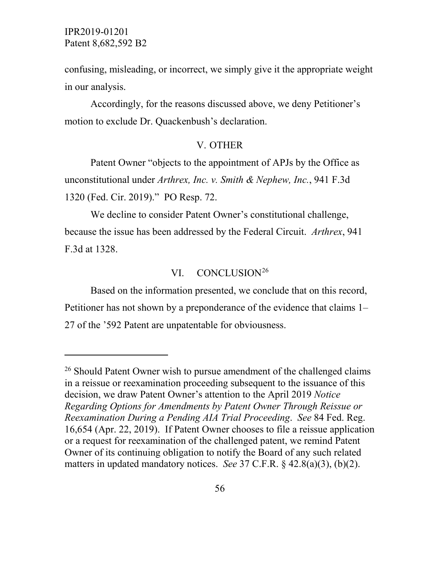$\overline{a}$ 

confusing, misleading, or incorrect, we simply give it the appropriate weight in our analysis.

Accordingly, for the reasons discussed above, we deny Petitioner's motion to exclude Dr. Quackenbush's declaration.

#### V. OTHER

Patent Owner "objects to the appointment of APJs by the Office as unconstitutional under *Arthrex, Inc. v. Smith & Nephew, Inc.*, 941 F.3d 1320 (Fed. Cir. 2019)." PO Resp. 72.

We decline to consider Patent Owner's constitutional challenge, because the issue has been addressed by the Federal Circuit. *Arthrex*, 941 F.3d at 1328.

#### VI. CONCLUSION<sup>[26](#page-55-0)</sup>

Based on the information presented, we conclude that on this record, Petitioner has not shown by a preponderance of the evidence that claims 1– 27 of the '592 Patent are unpatentable for obviousness.

<span id="page-55-0"></span><sup>&</sup>lt;sup>26</sup> Should Patent Owner wish to pursue amendment of the challenged claims in a reissue or reexamination proceeding subsequent to the issuance of this decision, we draw Patent Owner's attention to the April 2019 *Notice Regarding Options for Amendments by Patent Owner Through Reissue or Reexamination During a Pending AIA Trial Proceeding*. *See* 84 Fed. Reg. 16,654 (Apr. 22, 2019). If Patent Owner chooses to file a reissue application or a request for reexamination of the challenged patent, we remind Patent Owner of its continuing obligation to notify the Board of any such related matters in updated mandatory notices. *See* 37 C.F.R. § 42.8(a)(3), (b)(2).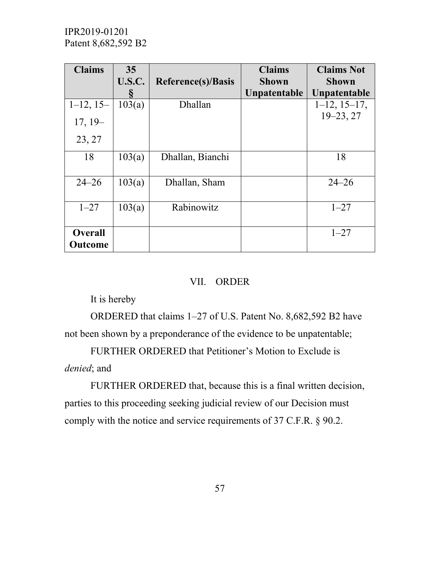| <b>Claims</b>             | 35            |                           | <b>Claims</b> | <b>Claims Not</b>  |
|---------------------------|---------------|---------------------------|---------------|--------------------|
|                           | <b>U.S.C.</b> | <b>Reference(s)/Basis</b> | <b>Shown</b>  | <b>Shown</b>       |
|                           | 8             |                           | Unpatentable  | Unpatentable       |
| $1-12$ , 15-              | 103(a)        | Dhallan                   |               | $1-12$ , $15-17$ , |
| $17, 19-$                 |               |                           |               | $19 - 23, 27$      |
| 23, 27                    |               |                           |               |                    |
| 18                        | 103(a)        | Dhallan, Bianchi          |               | 18                 |
| $24 - 26$                 | 103(a)        | Dhallan, Sham             |               | $24 - 26$          |
| $1 - 27$                  | 103(a)        | Rabinowitz                |               | $1 - 27$           |
| <b>Overall</b><br>Outcome |               |                           |               | $1 - 27$           |

## VII. ORDER

It is hereby

ORDERED that claims 1–27 of U.S. Patent No. 8,682,592 B2 have not been shown by a preponderance of the evidence to be unpatentable;

FURTHER ORDERED that Petitioner's Motion to Exclude is *denied*; and

FURTHER ORDERED that, because this is a final written decision, parties to this proceeding seeking judicial review of our Decision must comply with the notice and service requirements of 37 C.F.R. § 90.2.